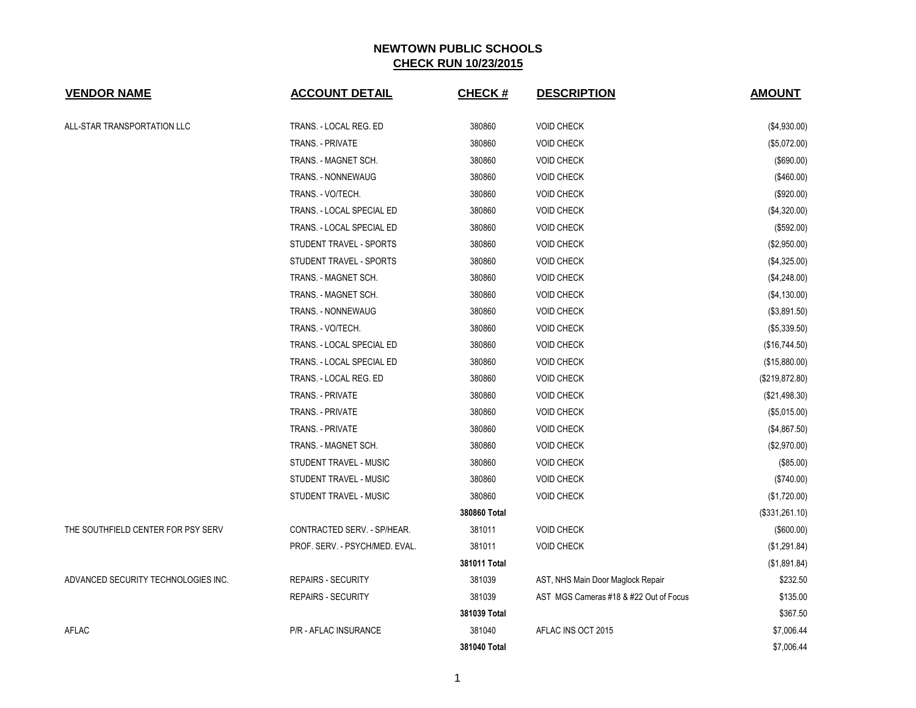| <b>VENDOR NAME</b>                  | <b>ACCOUNT DETAIL</b>          | <b>CHECK#</b> | <b>DESCRIPTION</b>                     | <b>AMOUNT</b>  |
|-------------------------------------|--------------------------------|---------------|----------------------------------------|----------------|
| ALL-STAR TRANSPORTATION LLC         | TRANS. - LOCAL REG. ED         | 380860        | <b>VOID CHECK</b>                      | (\$4,930.00)   |
|                                     | TRANS. - PRIVATE               | 380860        | <b>VOID CHECK</b>                      | (\$5,072.00)   |
|                                     | TRANS. - MAGNET SCH.           | 380860        | <b>VOID CHECK</b>                      | (\$690.00)     |
|                                     | TRANS. - NONNEWAUG             | 380860        | <b>VOID CHECK</b>                      | (\$460.00)     |
|                                     | TRANS. - VO/TECH.              | 380860        | <b>VOID CHECK</b>                      | (\$920.00)     |
|                                     | TRANS. - LOCAL SPECIAL ED      | 380860        | <b>VOID CHECK</b>                      | (\$4,320.00)   |
|                                     | TRANS. - LOCAL SPECIAL ED      | 380860        | <b>VOID CHECK</b>                      | (\$592.00)     |
|                                     | STUDENT TRAVEL - SPORTS        | 380860        | <b>VOID CHECK</b>                      | (\$2,950.00)   |
|                                     | STUDENT TRAVEL - SPORTS        | 380860        | <b>VOID CHECK</b>                      | (\$4,325.00)   |
|                                     | TRANS. - MAGNET SCH.           | 380860        | <b>VOID CHECK</b>                      | (\$4,248.00)   |
|                                     | TRANS. - MAGNET SCH.           | 380860        | <b>VOID CHECK</b>                      | (\$4,130.00)   |
|                                     | TRANS. - NONNEWAUG             | 380860        | <b>VOID CHECK</b>                      | (\$3,891.50)   |
|                                     | TRANS. - VO/TECH.              | 380860        | <b>VOID CHECK</b>                      | (\$5,339.50)   |
|                                     | TRANS. - LOCAL SPECIAL ED      | 380860        | <b>VOID CHECK</b>                      | (\$16,744.50)  |
|                                     | TRANS. - LOCAL SPECIAL ED      | 380860        | <b>VOID CHECK</b>                      | (\$15,880.00)  |
|                                     | TRANS. - LOCAL REG. ED         | 380860        | <b>VOID CHECK</b>                      | (\$219,872.80) |
|                                     | TRANS. - PRIVATE               | 380860        | <b>VOID CHECK</b>                      | (\$21,498.30)  |
|                                     | TRANS. - PRIVATE               | 380860        | <b>VOID CHECK</b>                      | (\$5,015.00)   |
|                                     | TRANS. - PRIVATE               | 380860        | <b>VOID CHECK</b>                      | (\$4,867.50)   |
|                                     | TRANS. - MAGNET SCH.           | 380860        | <b>VOID CHECK</b>                      | (\$2,970.00)   |
|                                     | STUDENT TRAVEL - MUSIC         | 380860        | <b>VOID CHECK</b>                      | (\$85.00)      |
|                                     | STUDENT TRAVEL - MUSIC         | 380860        | <b>VOID CHECK</b>                      | (\$740.00)     |
|                                     | STUDENT TRAVEL - MUSIC         | 380860        | <b>VOID CHECK</b>                      | (\$1,720.00)   |
|                                     |                                | 380860 Total  |                                        | (\$331,261.10) |
| THE SOUTHFIELD CENTER FOR PSY SERV  | CONTRACTED SERV. - SP/HEAR.    | 381011        | <b>VOID CHECK</b>                      | $($ \$600.00)  |
|                                     | PROF. SERV. - PSYCH/MED. EVAL. | 381011        | <b>VOID CHECK</b>                      | (\$1,291.84)   |
|                                     |                                | 381011 Total  |                                        | (\$1,891.84)   |
| ADVANCED SECURITY TECHNOLOGIES INC. | <b>REPAIRS - SECURITY</b>      | 381039        | AST, NHS Main Door Maglock Repair      | \$232.50       |
|                                     | <b>REPAIRS - SECURITY</b>      | 381039        | AST MGS Cameras #18 & #22 Out of Focus | \$135.00       |
|                                     |                                | 381039 Total  |                                        | \$367.50       |
| AFLAC                               | P/R - AFLAC INSURANCE          | 381040        | AFLAC INS OCT 2015                     | \$7,006.44     |
|                                     |                                | 381040 Total  |                                        | \$7,006.44     |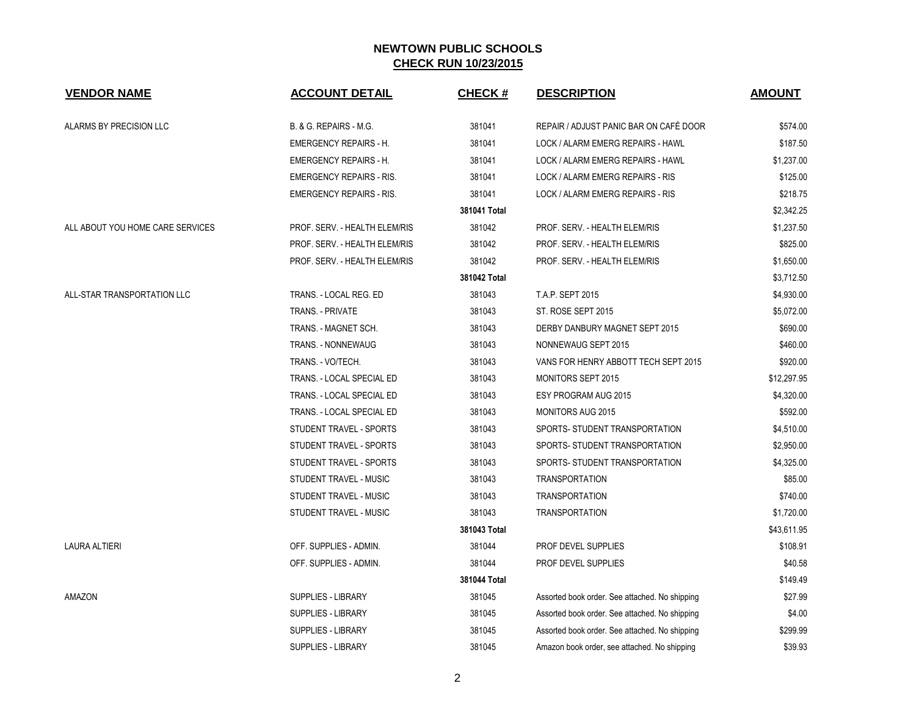| <b>VENDOR NAME</b>               | <b>ACCOUNT DETAIL</b>             | <b>CHECK#</b> | <b>DESCRIPTION</b>                             | <b>AMOUNT</b> |
|----------------------------------|-----------------------------------|---------------|------------------------------------------------|---------------|
| ALARMS BY PRECISION LLC          | <b>B. &amp; G. REPAIRS - M.G.</b> | 381041        | REPAIR / ADJUST PANIC BAR ON CAFÉ DOOR         | \$574.00      |
|                                  | <b>EMERGENCY REPAIRS - H.</b>     | 381041        | LOCK / ALARM EMERG REPAIRS - HAWL              | \$187.50      |
|                                  | <b>EMERGENCY REPAIRS - H.</b>     | 381041        | LOCK / ALARM EMERG REPAIRS - HAWL              | \$1,237.00    |
|                                  | <b>EMERGENCY REPAIRS - RIS.</b>   | 381041        | LOCK / ALARM EMERG REPAIRS - RIS               | \$125.00      |
|                                  | <b>EMERGENCY REPAIRS - RIS.</b>   | 381041        | LOCK / ALARM EMERG REPAIRS - RIS               | \$218.75      |
|                                  |                                   | 381041 Total  |                                                | \$2,342.25    |
| ALL ABOUT YOU HOME CARE SERVICES | PROF. SERV. - HEALTH ELEM/RIS     | 381042        | PROF. SERV. - HEALTH ELEM/RIS                  | \$1,237.50    |
|                                  | PROF. SERV. - HEALTH ELEM/RIS     | 381042        | PROF. SERV. - HEALTH ELEM/RIS                  | \$825.00      |
|                                  | PROF. SERV. - HEALTH ELEM/RIS     | 381042        | PROF. SERV. - HEALTH ELEM/RIS                  | \$1,650.00    |
|                                  |                                   | 381042 Total  |                                                | \$3,712.50    |
| ALL-STAR TRANSPORTATION LLC      | TRANS. - LOCAL REG. ED            | 381043        | T.A.P. SEPT 2015                               | \$4,930.00    |
|                                  | <b>TRANS. - PRIVATE</b>           | 381043        | ST. ROSE SEPT 2015                             | \$5,072.00    |
|                                  | TRANS. - MAGNET SCH.              | 381043        | DERBY DANBURY MAGNET SEPT 2015                 | \$690.00      |
|                                  | TRANS. - NONNEWAUG                | 381043        | NONNEWAUG SEPT 2015                            | \$460.00      |
|                                  | TRANS. - VO/TECH.                 | 381043        | VANS FOR HENRY ABBOTT TECH SEPT 2015           | \$920.00      |
|                                  | TRANS. - LOCAL SPECIAL ED         | 381043        | <b>MONITORS SEPT 2015</b>                      | \$12,297.95   |
|                                  | TRANS. - LOCAL SPECIAL ED         | 381043        | ESY PROGRAM AUG 2015                           | \$4,320.00    |
|                                  | TRANS. - LOCAL SPECIAL ED         | 381043        | <b>MONITORS AUG 2015</b>                       | \$592.00      |
|                                  | STUDENT TRAVEL - SPORTS           | 381043        | SPORTS- STUDENT TRANSPORTATION                 | \$4,510.00    |
|                                  | <b>STUDENT TRAVEL - SPORTS</b>    | 381043        | SPORTS- STUDENT TRANSPORTATION                 | \$2,950.00    |
|                                  | STUDENT TRAVEL - SPORTS           | 381043        | SPORTS- STUDENT TRANSPORTATION                 | \$4,325.00    |
|                                  | STUDENT TRAVEL - MUSIC            | 381043        | <b>TRANSPORTATION</b>                          | \$85.00       |
|                                  | STUDENT TRAVEL - MUSIC            | 381043        | <b>TRANSPORTATION</b>                          | \$740.00      |
|                                  | STUDENT TRAVEL - MUSIC            | 381043        | <b>TRANSPORTATION</b>                          | \$1,720.00    |
|                                  |                                   | 381043 Total  |                                                | \$43,611.95   |
| <b>LAURA ALTIERI</b>             | OFF. SUPPLIES - ADMIN.            | 381044        | PROF DEVEL SUPPLIES                            | \$108.91      |
|                                  | OFF. SUPPLIES - ADMIN.            | 381044        | PROF DEVEL SUPPLIES                            | \$40.58       |
|                                  |                                   | 381044 Total  |                                                | \$149.49      |
| AMAZON                           | <b>SUPPLIES - LIBRARY</b>         | 381045        | Assorted book order. See attached. No shipping | \$27.99       |
|                                  | <b>SUPPLIES - LIBRARY</b>         | 381045        | Assorted book order. See attached. No shipping | \$4.00        |
|                                  | <b>SUPPLIES - LIBRARY</b>         | 381045        | Assorted book order. See attached. No shipping | \$299.99      |
|                                  | <b>SUPPLIES - LIBRARY</b>         | 381045        | Amazon book order, see attached. No shipping   | \$39.93       |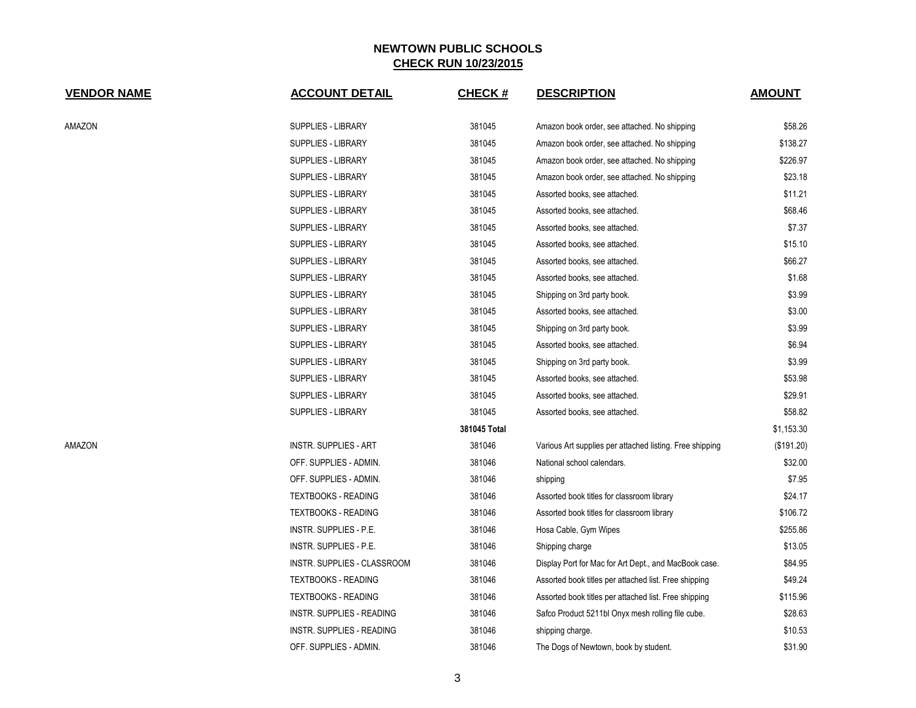| <b>VENDOR NAME</b> | <b>ACCOUNT DETAIL</b>            | <b>CHECK#</b> | <b>DESCRIPTION</b>                                       | <b>AMOUNT</b> |
|--------------------|----------------------------------|---------------|----------------------------------------------------------|---------------|
| AMAZON             | SUPPLIES - LIBRARY               | 381045        | Amazon book order, see attached. No shipping             | \$58.26       |
|                    | <b>SUPPLIES - LIBRARY</b>        | 381045        | Amazon book order, see attached. No shipping             | \$138.27      |
|                    | <b>SUPPLIES - LIBRARY</b>        | 381045        | Amazon book order, see attached. No shipping             | \$226.97      |
|                    | SUPPLIES - LIBRARY               | 381045        | Amazon book order, see attached. No shipping             | \$23.18       |
|                    | SUPPLIES - LIBRARY               | 381045        | Assorted books, see attached.                            | \$11.21       |
|                    | <b>SUPPLIES - LIBRARY</b>        | 381045        | Assorted books, see attached.                            | \$68.46       |
|                    | SUPPLIES - LIBRARY               | 381045        | Assorted books, see attached.                            | \$7.37        |
|                    | SUPPLIES - LIBRARY               | 381045        | Assorted books, see attached.                            | \$15.10       |
|                    | SUPPLIES - LIBRARY               | 381045        | Assorted books, see attached.                            | \$66.27       |
|                    | SUPPLIES - LIBRARY               | 381045        | Assorted books, see attached.                            | \$1.68        |
|                    | SUPPLIES - LIBRARY               | 381045        | Shipping on 3rd party book.                              | \$3.99        |
|                    | <b>SUPPLIES - LIBRARY</b>        | 381045        | Assorted books, see attached.                            | \$3.00        |
|                    | SUPPLIES - LIBRARY               | 381045        | Shipping on 3rd party book.                              | \$3.99        |
|                    | SUPPLIES - LIBRARY               | 381045        | Assorted books, see attached.                            | \$6.94        |
|                    | <b>SUPPLIES - LIBRARY</b>        | 381045        | Shipping on 3rd party book.                              | \$3.99        |
|                    | SUPPLIES - LIBRARY               | 381045        | Assorted books, see attached.                            | \$53.98       |
|                    | <b>SUPPLIES - LIBRARY</b>        | 381045        | Assorted books, see attached.                            | \$29.91       |
|                    | <b>SUPPLIES - LIBRARY</b>        | 381045        | Assorted books, see attached.                            | \$58.82       |
|                    |                                  | 381045 Total  |                                                          | \$1,153.30    |
| AMAZON             | <b>INSTR. SUPPLIES - ART</b>     | 381046        | Various Art supplies per attached listing. Free shipping | (\$191.20)    |
|                    | OFF. SUPPLIES - ADMIN.           | 381046        | National school calendars.                               | \$32.00       |
|                    | OFF. SUPPLIES - ADMIN.           | 381046        | shipping                                                 | \$7.95        |
|                    | <b>TEXTBOOKS - READING</b>       | 381046        | Assorted book titles for classroom library               | \$24.17       |
|                    | <b>TEXTBOOKS - READING</b>       | 381046        | Assorted book titles for classroom library               | \$106.72      |
|                    | INSTR. SUPPLIES - P.E.           | 381046        | Hosa Cable, Gym Wipes                                    | \$255.86      |
|                    | INSTR. SUPPLIES - P.E.           | 381046        | Shipping charge                                          | \$13.05       |
|                    | INSTR. SUPPLIES - CLASSROOM      | 381046        | Display Port for Mac for Art Dept., and MacBook case.    | \$84.95       |
|                    | <b>TEXTBOOKS - READING</b>       | 381046        | Assorted book titles per attached list. Free shipping    | \$49.24       |
|                    | <b>TEXTBOOKS - READING</b>       | 381046        | Assorted book titles per attached list. Free shipping    | \$115.96      |
|                    | <b>INSTR. SUPPLIES - READING</b> | 381046        | Safco Product 5211bl Onyx mesh rolling file cube.        | \$28.63       |
|                    | <b>INSTR. SUPPLIES - READING</b> | 381046        | shipping charge.                                         | \$10.53       |
|                    | OFF. SUPPLIES - ADMIN.           | 381046        | The Dogs of Newtown, book by student.                    | \$31.90       |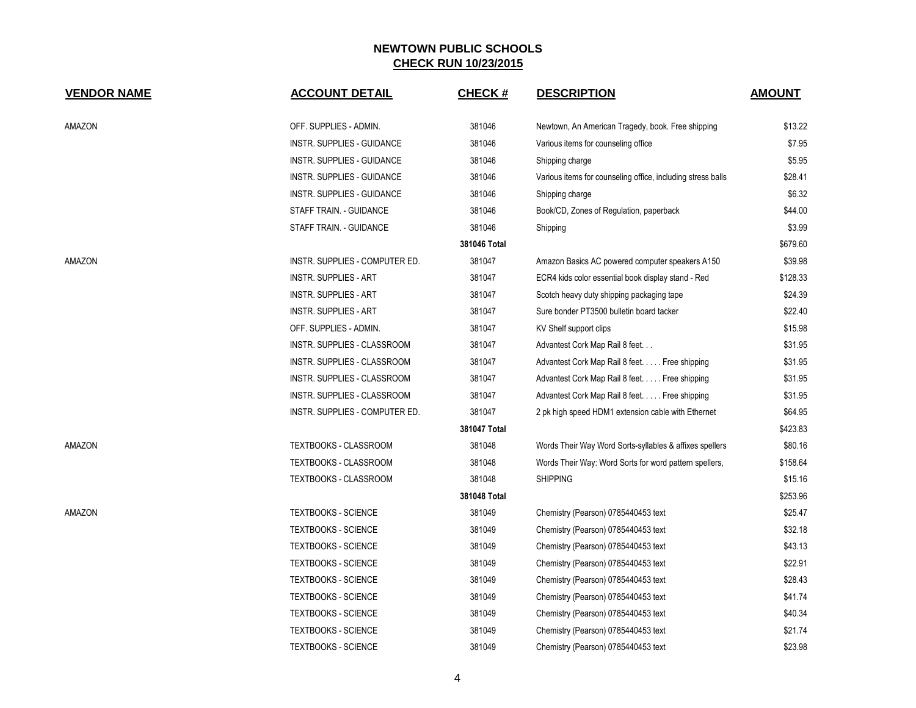| <b>VENDOR NAME</b> | <b>ACCOUNT DETAIL</b>          | <b>CHECK#</b> | <b>DESCRIPTION</b>                                          | <b>AMOUNT</b> |
|--------------------|--------------------------------|---------------|-------------------------------------------------------------|---------------|
| AMAZON             | OFF. SUPPLIES - ADMIN.         | 381046        | Newtown, An American Tragedy, book. Free shipping           | \$13.22       |
|                    | INSTR. SUPPLIES - GUIDANCE     | 381046        | Various items for counseling office                         | \$7.95        |
|                    | INSTR. SUPPLIES - GUIDANCE     | 381046        | Shipping charge                                             | \$5.95        |
|                    | INSTR. SUPPLIES - GUIDANCE     | 381046        | Various items for counseling office, including stress balls | \$28.41       |
|                    | INSTR. SUPPLIES - GUIDANCE     | 381046        | Shipping charge                                             | \$6.32        |
|                    | STAFF TRAIN. - GUIDANCE        | 381046        | Book/CD, Zones of Regulation, paperback                     | \$44.00       |
|                    | STAFF TRAIN. - GUIDANCE        | 381046        | Shipping                                                    | \$3.99        |
|                    |                                | 381046 Total  |                                                             | \$679.60      |
| AMAZON             | INSTR. SUPPLIES - COMPUTER ED. | 381047        | Amazon Basics AC powered computer speakers A150             | \$39.98       |
|                    | <b>INSTR. SUPPLIES - ART</b>   | 381047        | ECR4 kids color essential book display stand - Red          | \$128.33      |
|                    | <b>INSTR. SUPPLIES - ART</b>   | 381047        | Scotch heavy duty shipping packaging tape                   | \$24.39       |
|                    | INSTR. SUPPLIES - ART          | 381047        | Sure bonder PT3500 bulletin board tacker                    | \$22.40       |
|                    | OFF. SUPPLIES - ADMIN.         | 381047        | KV Shelf support clips                                      | \$15.98       |
|                    | INSTR. SUPPLIES - CLASSROOM    | 381047        | Advantest Cork Map Rail 8 feet                              | \$31.95       |
|                    | INSTR. SUPPLIES - CLASSROOM    | 381047        | Advantest Cork Map Rail 8 feet. Free shipping               | \$31.95       |
|                    | INSTR. SUPPLIES - CLASSROOM    | 381047        | Advantest Cork Map Rail 8 feet. Free shipping               | \$31.95       |
|                    | INSTR. SUPPLIES - CLASSROOM    | 381047        | Advantest Cork Map Rail 8 feet. Free shipping               | \$31.95       |
|                    | INSTR. SUPPLIES - COMPUTER ED. | 381047        | 2 pk high speed HDM1 extension cable with Ethernet          | \$64.95       |
|                    |                                | 381047 Total  |                                                             | \$423.83      |
| AMAZON             | TEXTBOOKS - CLASSROOM          | 381048        | Words Their Way Word Sorts-syllables & affixes spellers     | \$80.16       |
|                    | TEXTBOOKS - CLASSROOM          | 381048        | Words Their Way: Word Sorts for word pattern spellers,      | \$158.64      |
|                    | TEXTBOOKS - CLASSROOM          | 381048        | <b>SHIPPING</b>                                             | \$15.16       |
|                    |                                | 381048 Total  |                                                             | \$253.96      |
| AMAZON             | <b>TEXTBOOKS - SCIENCE</b>     | 381049        | Chemistry (Pearson) 0785440453 text                         | \$25.47       |
|                    | <b>TEXTBOOKS - SCIENCE</b>     | 381049        | Chemistry (Pearson) 0785440453 text                         | \$32.18       |
|                    | <b>TEXTBOOKS - SCIENCE</b>     | 381049        | Chemistry (Pearson) 0785440453 text                         | \$43.13       |
|                    | <b>TEXTBOOKS - SCIENCE</b>     | 381049        | Chemistry (Pearson) 0785440453 text                         | \$22.91       |
|                    | <b>TEXTBOOKS - SCIENCE</b>     | 381049        | Chemistry (Pearson) 0785440453 text                         | \$28.43       |
|                    | <b>TEXTBOOKS - SCIENCE</b>     | 381049        | Chemistry (Pearson) 0785440453 text                         | \$41.74       |
|                    | <b>TEXTBOOKS - SCIENCE</b>     | 381049        | Chemistry (Pearson) 0785440453 text                         | \$40.34       |
|                    | <b>TEXTBOOKS - SCIENCE</b>     | 381049        | Chemistry (Pearson) 0785440453 text                         | \$21.74       |
|                    | <b>TEXTBOOKS - SCIENCE</b>     | 381049        | Chemistry (Pearson) 0785440453 text                         | \$23.98       |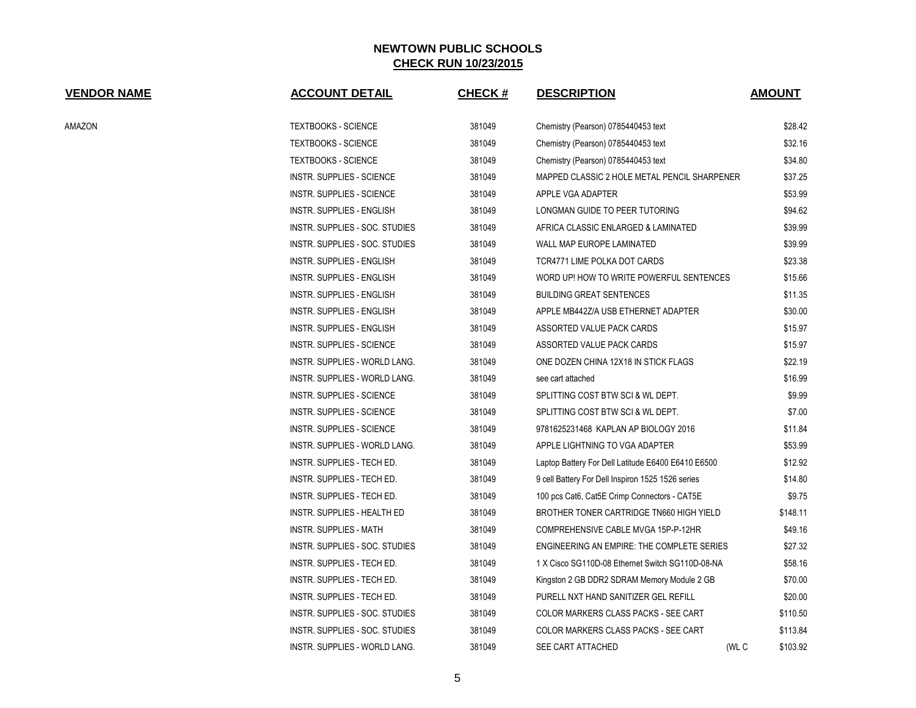| <b>VENDOR NAME</b> | <b>ACCOUNT DETAIL</b>          | CHECK $#$ | <b>DESCRIPTION</b>                                 | <b>AMOUNT</b> |
|--------------------|--------------------------------|-----------|----------------------------------------------------|---------------|
| AMAZON             | <b>TEXTBOOKS - SCIENCE</b>     | 381049    | Chemistry (Pearson) 0785440453 text                | \$28.42       |
|                    | TEXTBOOKS - SCIENCE            | 381049    | Chemistry (Pearson) 0785440453 text                | \$32.16       |
|                    | TEXTBOOKS - SCIENCE            | 381049    | Chemistry (Pearson) 0785440453 text                | \$34.80       |
|                    | INSTR. SUPPLIES - SCIENCE      | 381049    | MAPPED CLASSIC 2 HOLE METAL PENCIL SHARPENER       | \$37.25       |
|                    | INSTR. SUPPLIES - SCIENCE      | 381049    | APPLE VGA ADAPTER                                  | \$53.99       |
|                    | INSTR. SUPPLIES - ENGLISH      | 381049    | LONGMAN GUIDE TO PEER TUTORING                     | \$94.62       |
|                    | INSTR. SUPPLIES - SOC. STUDIES | 381049    | AFRICA CLASSIC ENLARGED & LAMINATED                | \$39.99       |
|                    | INSTR. SUPPLIES - SOC. STUDIES | 381049    | WALL MAP EUROPE LAMINATED                          | \$39.99       |
|                    | INSTR. SUPPLIES - ENGLISH      | 381049    | TCR4771 LIME POLKA DOT CARDS                       | \$23.38       |
|                    | INSTR. SUPPLIES - ENGLISH      | 381049    | WORD UP! HOW TO WRITE POWERFUL SENTENCES           | \$15.66       |
|                    | INSTR. SUPPLIES - ENGLISH      | 381049    | <b>BUILDING GREAT SENTENCES</b>                    | \$11.35       |
|                    | INSTR. SUPPLIES - ENGLISH      | 381049    | APPLE MB442Z/A USB ETHERNET ADAPTER                | \$30.00       |
|                    | INSTR. SUPPLIES - ENGLISH      | 381049    | ASSORTED VALUE PACK CARDS                          | \$15.97       |
|                    | INSTR. SUPPLIES - SCIENCE      | 381049    | ASSORTED VALUE PACK CARDS                          | \$15.97       |
|                    | INSTR. SUPPLIES - WORLD LANG.  | 381049    | ONE DOZEN CHINA 12X18 IN STICK FLAGS               | \$22.19       |
|                    | INSTR. SUPPLIES - WORLD LANG.  | 381049    | see cart attached                                  | \$16.99       |
|                    | INSTR. SUPPLIES - SCIENCE      | 381049    | SPLITTING COST BTW SCI & WL DEPT.                  | \$9.99        |
|                    | INSTR. SUPPLIES - SCIENCE      | 381049    | SPLITTING COST BTW SCI & WL DEPT.                  | \$7.00        |
|                    | INSTR. SUPPLIES - SCIENCE      | 381049    | 9781625231468 KAPLAN AP BIOLOGY 2016               | \$11.84       |
|                    | INSTR. SUPPLIES - WORLD LANG.  | 381049    | APPLE LIGHTNING TO VGA ADAPTER                     | \$53.99       |
|                    | INSTR. SUPPLIES - TECH ED.     | 381049    | Laptop Battery For Dell Latitude E6400 E6410 E6500 | \$12.92       |
|                    | INSTR. SUPPLIES - TECH ED.     | 381049    | 9 cell Battery For Dell Inspiron 1525 1526 series  | \$14.80       |
|                    | INSTR. SUPPLIES - TECH ED.     | 381049    | 100 pcs Cat6, Cat5E Crimp Connectors - CAT5E       | \$9.75        |
|                    | INSTR. SUPPLIES - HEALTH ED    | 381049    | BROTHER TONER CARTRIDGE TN660 HIGH YIELD           | \$148.11      |
|                    | INSTR. SUPPLIES - MATH         | 381049    | COMPREHENSIVE CABLE MVGA 15P-P-12HR                | \$49.16       |
|                    | INSTR. SUPPLIES - SOC. STUDIES | 381049    | ENGINEERING AN EMPIRE: THE COMPLETE SERIES         | \$27.32       |
|                    | INSTR. SUPPLIES - TECH ED.     | 381049    | 1 X Cisco SG110D-08 Ethernet Switch SG110D-08-NA   | \$58.16       |
|                    | INSTR. SUPPLIES - TECH ED.     | 381049    | Kingston 2 GB DDR2 SDRAM Memory Module 2 GB        | \$70.00       |
|                    | INSTR. SUPPLIES - TECH ED.     | 381049    | PURELL NXT HAND SANITIZER GEL REFILL               | \$20.00       |
|                    | INSTR. SUPPLIES - SOC. STUDIES | 381049    | COLOR MARKERS CLASS PACKS - SEE CART               | \$110.50      |
|                    | INSTR. SUPPLIES - SOC. STUDIES | 381049    | COLOR MARKERS CLASS PACKS - SEE CART               | \$113.84      |
|                    | INSTR. SUPPLIES - WORLD LANG.  | 381049    | SEE CART ATTACHED<br>(WL C                         | \$103.92      |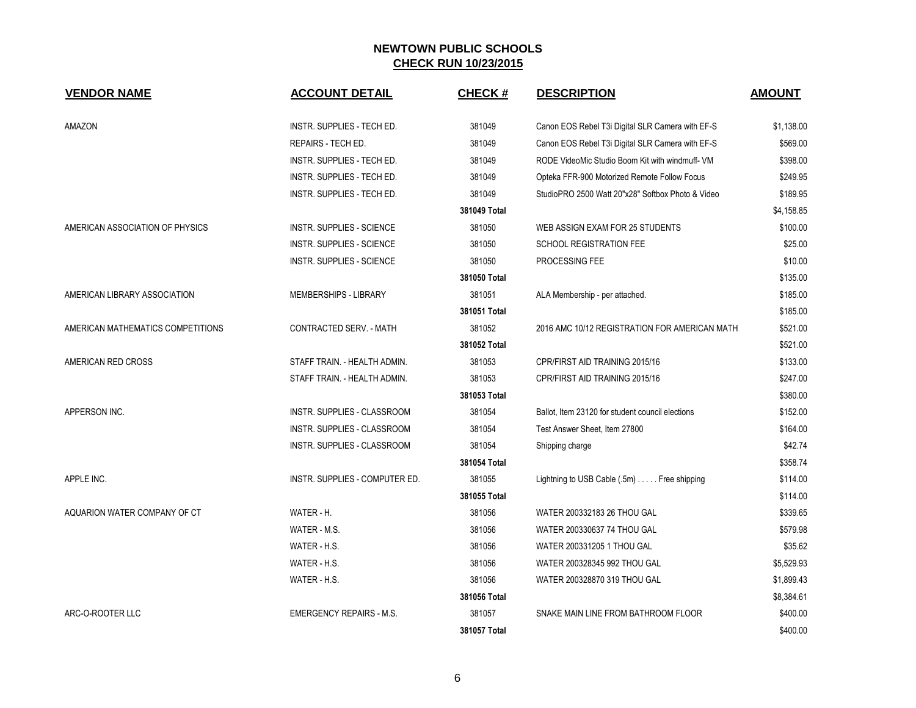| <b>VENDOR NAME</b>                | <b>ACCOUNT DETAIL</b>                 | <b>CHECK#</b> | <b>DESCRIPTION</b>                                | <b>AMOUNT</b> |
|-----------------------------------|---------------------------------------|---------------|---------------------------------------------------|---------------|
|                                   |                                       |               |                                                   |               |
| AMAZON                            | INSTR. SUPPLIES - TECH ED.            | 381049        | Canon EOS Rebel T3i Digital SLR Camera with EF-S  | \$1,138.00    |
|                                   | REPAIRS - TECH ED.                    | 381049        | Canon EOS Rebel T3i Digital SLR Camera with EF-S  | \$569.00      |
|                                   | INSTR. SUPPLIES - TECH ED.            | 381049        | RODE VideoMic Studio Boom Kit with windmuff- VM   | \$398.00      |
|                                   | INSTR. SUPPLIES - TECH ED.            | 381049        | Opteka FFR-900 Motorized Remote Follow Focus      | \$249.95      |
|                                   | INSTR. SUPPLIES - TECH ED.            | 381049        | StudioPRO 2500 Watt 20"x28" Softbox Photo & Video | \$189.95      |
|                                   |                                       | 381049 Total  |                                                   | \$4,158.85    |
| AMERICAN ASSOCIATION OF PHYSICS   | INSTR. SUPPLIES - SCIENCE             | 381050        | WEB ASSIGN EXAM FOR 25 STUDENTS                   | \$100.00      |
|                                   | <b>INSTR. SUPPLIES - SCIENCE</b>      | 381050        | <b>SCHOOL REGISTRATION FEE</b>                    | \$25.00       |
|                                   | <b>INSTR. SUPPLIES - SCIENCE</b>      | 381050        | PROCESSING FEE                                    | \$10.00       |
|                                   |                                       | 381050 Total  |                                                   | \$135.00      |
| AMERICAN LIBRARY ASSOCIATION      | MEMBERSHIPS - LIBRARY                 | 381051        | ALA Membership - per attached.                    | \$185.00      |
|                                   |                                       | 381051 Total  |                                                   | \$185.00      |
| AMERICAN MATHEMATICS COMPETITIONS | CONTRACTED SERV. - MATH               | 381052        | 2016 AMC 10/12 REGISTRATION FOR AMERICAN MATH     | \$521.00      |
|                                   |                                       | 381052 Total  |                                                   | \$521.00      |
| AMERICAN RED CROSS                | STAFF TRAIN. - HEALTH ADMIN.          | 381053        | CPR/FIRST AID TRAINING 2015/16                    | \$133.00      |
|                                   | STAFF TRAIN. - HEALTH ADMIN.          | 381053        | CPR/FIRST AID TRAINING 2015/16                    | \$247.00      |
|                                   |                                       | 381053 Total  |                                                   | \$380.00      |
| APPERSON INC.                     | <b>INSTR. SUPPLIES - CLASSROOM</b>    | 381054        | Ballot, Item 23120 for student council elections  | \$152.00      |
|                                   | <b>INSTR. SUPPLIES - CLASSROOM</b>    | 381054        | Test Answer Sheet, Item 27800                     | \$164.00      |
|                                   | INSTR. SUPPLIES - CLASSROOM           | 381054        | Shipping charge                                   | \$42.74       |
|                                   |                                       | 381054 Total  |                                                   | \$358.74      |
| APPLE INC.                        | <b>INSTR. SUPPLIES - COMPUTER ED.</b> | 381055        | Lightning to USB Cable (.5m) Free shipping        | \$114.00      |
|                                   |                                       | 381055 Total  |                                                   | \$114.00      |
| AQUARION WATER COMPANY OF CT      | WATER - H.                            | 381056        | WATER 200332183 26 THOU GAL                       | \$339.65      |
|                                   | WATER - M.S.                          | 381056        | WATER 200330637 74 THOU GAL                       | \$579.98      |
|                                   | WATER - H.S.                          | 381056        | WATER 200331205 1 THOU GAL                        | \$35.62       |
|                                   | WATER - H.S.                          | 381056        | WATER 200328345 992 THOU GAL                      | \$5,529.93    |
|                                   | WATER - H.S.                          | 381056        | WATER 200328870 319 THOU GAL                      | \$1,899.43    |
|                                   |                                       | 381056 Total  |                                                   | \$8,384.61    |
| ARC-O-ROOTER LLC                  | <b>EMERGENCY REPAIRS - M.S.</b>       | 381057        | SNAKE MAIN LINE FROM BATHROOM FLOOR               | \$400.00      |
|                                   |                                       | 381057 Total  |                                                   | \$400.00      |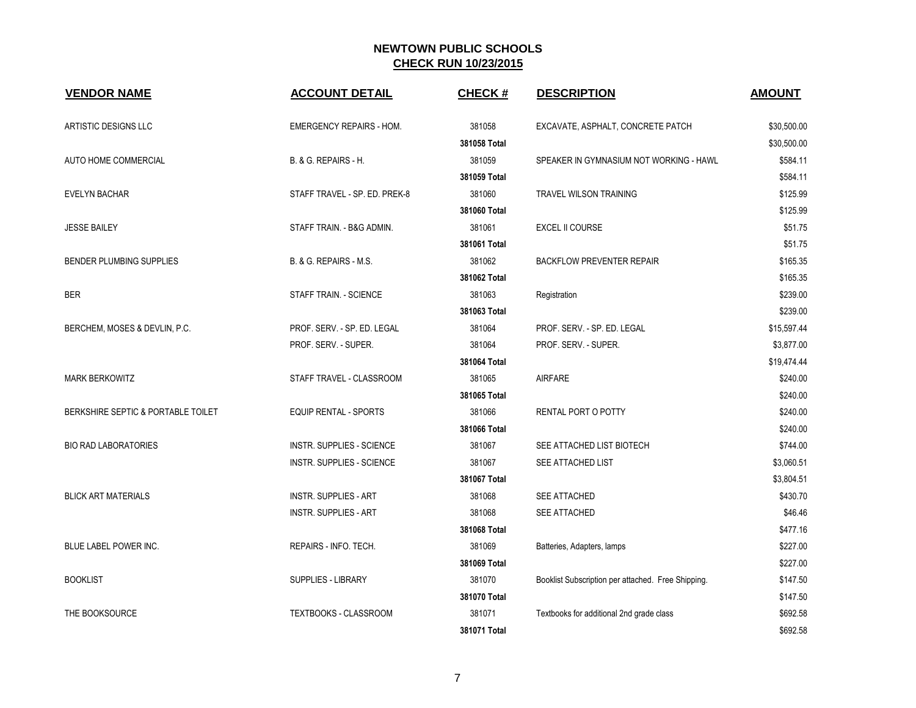| <b>VENDOR NAME</b>                 | <b>ACCOUNT DETAIL</b>            | <b>CHECK#</b> | <b>DESCRIPTION</b>                                 | <b>AMOUNT</b> |
|------------------------------------|----------------------------------|---------------|----------------------------------------------------|---------------|
| ARTISTIC DESIGNS LLC               | <b>EMERGENCY REPAIRS - HOM.</b>  | 381058        | EXCAVATE, ASPHALT, CONCRETE PATCH                  | \$30,500.00   |
|                                    |                                  | 381058 Total  |                                                    | \$30,500.00   |
| AUTO HOME COMMERCIAL               | B. & G. REPAIRS - H.             | 381059        | SPEAKER IN GYMNASIUM NOT WORKING - HAWL            | \$584.11      |
|                                    |                                  | 381059 Total  |                                                    | \$584.11      |
| <b>EVELYN BACHAR</b>               | STAFF TRAVEL - SP. ED. PREK-8    | 381060        | <b>TRAVEL WILSON TRAINING</b>                      | \$125.99      |
|                                    |                                  | 381060 Total  |                                                    | \$125.99      |
| <b>JESSE BAILEY</b>                | STAFF TRAIN. - B&G ADMIN.        | 381061        | <b>EXCEL II COURSE</b>                             | \$51.75       |
|                                    |                                  | 381061 Total  |                                                    | \$51.75       |
| BENDER PLUMBING SUPPLIES           | B. & G. REPAIRS - M.S.           | 381062        | <b>BACKFLOW PREVENTER REPAIR</b>                   | \$165.35      |
|                                    |                                  | 381062 Total  |                                                    | \$165.35      |
| <b>BER</b>                         | STAFF TRAIN. - SCIENCE           | 381063        | Registration                                       | \$239.00      |
|                                    |                                  | 381063 Total  |                                                    | \$239.00      |
| BERCHEM, MOSES & DEVLIN, P.C.      | PROF. SERV. - SP. ED. LEGAL      | 381064        | PROF. SERV. - SP. ED. LEGAL                        | \$15,597.44   |
|                                    | PROF. SERV. - SUPER.             | 381064        | PROF. SERV. - SUPER.                               | \$3,877.00    |
|                                    |                                  | 381064 Total  |                                                    | \$19,474.44   |
| <b>MARK BERKOWITZ</b>              | STAFF TRAVEL - CLASSROOM         | 381065        | <b>AIRFARE</b>                                     | \$240.00      |
|                                    |                                  | 381065 Total  |                                                    | \$240.00      |
| BERKSHIRE SEPTIC & PORTABLE TOILET | <b>EQUIP RENTAL - SPORTS</b>     | 381066        | RENTAL PORT O POTTY                                | \$240.00      |
|                                    |                                  | 381066 Total  |                                                    | \$240.00      |
| <b>BIO RAD LABORATORIES</b>        | <b>INSTR. SUPPLIES - SCIENCE</b> | 381067        | SEE ATTACHED LIST BIOTECH                          | \$744.00      |
|                                    | <b>INSTR. SUPPLIES - SCIENCE</b> | 381067        | SEE ATTACHED LIST                                  | \$3,060.51    |
|                                    |                                  | 381067 Total  |                                                    | \$3,804.51    |
| <b>BLICK ART MATERIALS</b>         | <b>INSTR. SUPPLIES - ART</b>     | 381068        | SEE ATTACHED                                       | \$430.70      |
|                                    | <b>INSTR. SUPPLIES - ART</b>     | 381068        | SEE ATTACHED                                       | \$46.46       |
|                                    |                                  | 381068 Total  |                                                    | \$477.16      |
| BLUE LABEL POWER INC.              | REPAIRS - INFO. TECH.            | 381069        | Batteries, Adapters, lamps                         | \$227.00      |
|                                    |                                  | 381069 Total  |                                                    | \$227.00      |
| <b>BOOKLIST</b>                    | <b>SUPPLIES - LIBRARY</b>        | 381070        | Booklist Subscription per attached. Free Shipping. | \$147.50      |
|                                    |                                  | 381070 Total  |                                                    | \$147.50      |
| THE BOOKSOURCE                     | TEXTBOOKS - CLASSROOM            | 381071        | Textbooks for additional 2nd grade class           | \$692.58      |
|                                    |                                  | 381071 Total  |                                                    | \$692.58      |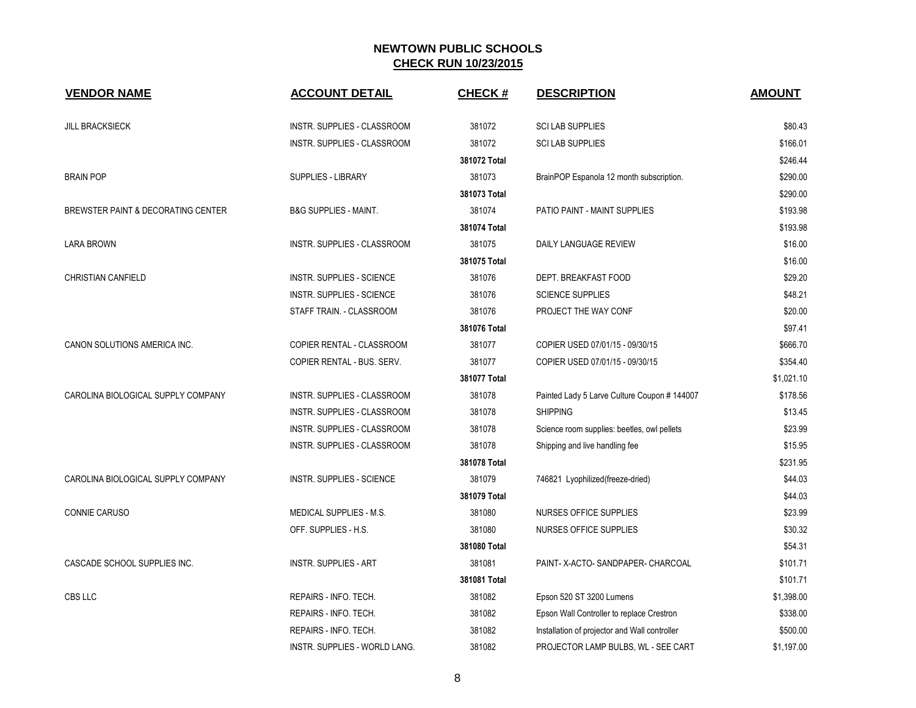| <b>VENDOR NAME</b>                 | <b>ACCOUNT DETAIL</b>              | <b>CHECK#</b> | <b>DESCRIPTION</b>                            | <b>AMOUNT</b> |
|------------------------------------|------------------------------------|---------------|-----------------------------------------------|---------------|
| <b>JILL BRACKSIECK</b>             | <b>INSTR. SUPPLIES - CLASSROOM</b> | 381072        | <b>SCI LAB SUPPLIES</b>                       | \$80.43       |
|                                    | INSTR. SUPPLIES - CLASSROOM        | 381072        | <b>SCI LAB SUPPLIES</b>                       | \$166.01      |
|                                    |                                    | 381072 Total  |                                               | \$246.44      |
| <b>BRAIN POP</b>                   | <b>SUPPLIES - LIBRARY</b>          | 381073        | BrainPOP Espanola 12 month subscription.      | \$290.00      |
|                                    |                                    | 381073 Total  |                                               | \$290.00      |
| BREWSTER PAINT & DECORATING CENTER | <b>B&amp;G SUPPLIES - MAINT.</b>   | 381074        | PATIO PAINT - MAINT SUPPLIES                  | \$193.98      |
|                                    |                                    | 381074 Total  |                                               | \$193.98      |
| LARA BROWN                         | INSTR. SUPPLIES - CLASSROOM        | 381075        | DAILY LANGUAGE REVIEW                         | \$16.00       |
|                                    |                                    | 381075 Total  |                                               | \$16.00       |
| <b>CHRISTIAN CANFIELD</b>          | INSTR. SUPPLIES - SCIENCE          | 381076        | DEPT. BREAKFAST FOOD                          | \$29.20       |
|                                    | INSTR. SUPPLIES - SCIENCE          | 381076        | <b>SCIENCE SUPPLIES</b>                       | \$48.21       |
|                                    | STAFF TRAIN. - CLASSROOM           | 381076        | PROJECT THE WAY CONF                          | \$20.00       |
|                                    |                                    | 381076 Total  |                                               | \$97.41       |
| CANON SOLUTIONS AMERICA INC.       | COPIER RENTAL - CLASSROOM          | 381077        | COPIER USED 07/01/15 - 09/30/15               | \$666.70      |
|                                    | COPIER RENTAL - BUS. SERV.         | 381077        | COPIER USED 07/01/15 - 09/30/15               | \$354.40      |
|                                    |                                    | 381077 Total  |                                               | \$1,021.10    |
| CAROLINA BIOLOGICAL SUPPLY COMPANY | INSTR. SUPPLIES - CLASSROOM        | 381078        | Painted Lady 5 Larve Culture Coupon # 144007  | \$178.56      |
|                                    | INSTR. SUPPLIES - CLASSROOM        | 381078        | <b>SHIPPING</b>                               | \$13.45       |
|                                    | INSTR. SUPPLIES - CLASSROOM        | 381078        | Science room supplies: beetles, owl pellets   | \$23.99       |
|                                    | <b>INSTR. SUPPLIES - CLASSROOM</b> | 381078        | Shipping and live handling fee                | \$15.95       |
|                                    |                                    | 381078 Total  |                                               | \$231.95      |
| CAROLINA BIOLOGICAL SUPPLY COMPANY | INSTR. SUPPLIES - SCIENCE          | 381079        | 746821 Lyophilized(freeze-dried)              | \$44.03       |
|                                    |                                    | 381079 Total  |                                               | \$44.03       |
| <b>CONNIE CARUSO</b>               | <b>MEDICAL SUPPLIES - M.S.</b>     | 381080        | NURSES OFFICE SUPPLIES                        | \$23.99       |
|                                    | OFF. SUPPLIES - H.S.               | 381080        | NURSES OFFICE SUPPLIES                        | \$30.32       |
|                                    |                                    | 381080 Total  |                                               | \$54.31       |
| CASCADE SCHOOL SUPPLIES INC.       | <b>INSTR. SUPPLIES - ART</b>       | 381081        | PAINT- X-ACTO- SANDPAPER- CHARCOAL            | \$101.71      |
|                                    |                                    | 381081 Total  |                                               | \$101.71      |
| CBS LLC                            | REPAIRS - INFO. TECH.              | 381082        | Epson 520 ST 3200 Lumens                      | \$1,398.00    |
|                                    | REPAIRS - INFO. TECH.              | 381082        | Epson Wall Controller to replace Crestron     | \$338.00      |
|                                    | REPAIRS - INFO. TECH.              | 381082        | Installation of projector and Wall controller | \$500.00      |
|                                    | INSTR. SUPPLIES - WORLD LANG.      | 381082        | PROJECTOR LAMP BULBS, WL - SEE CART           | \$1,197.00    |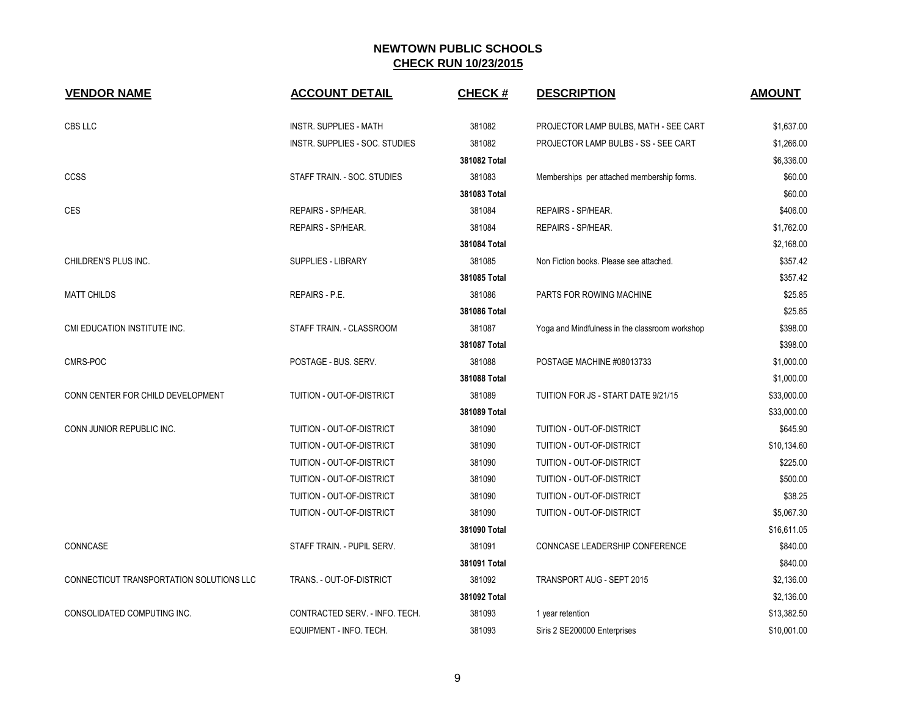| <b>VENDOR NAME</b>                       | <b>ACCOUNT DETAIL</b>          | <b>CHECK#</b> | <b>DESCRIPTION</b>                             | <b>AMOUNT</b> |
|------------------------------------------|--------------------------------|---------------|------------------------------------------------|---------------|
| CBS LLC                                  | <b>INSTR. SUPPLIES - MATH</b>  | 381082        | PROJECTOR LAMP BULBS, MATH - SEE CART          | \$1,637.00    |
|                                          | INSTR. SUPPLIES - SOC. STUDIES | 381082        | PROJECTOR LAMP BULBS - SS - SEE CART           | \$1,266.00    |
|                                          |                                | 381082 Total  |                                                | \$6,336.00    |
| <b>CCSS</b>                              | STAFF TRAIN. - SOC. STUDIES    | 381083        | Memberships per attached membership forms.     | \$60.00       |
|                                          |                                | 381083 Total  |                                                | \$60.00       |
| CES                                      | REPAIRS - SP/HEAR.             | 381084        | REPAIRS - SP/HEAR.                             | \$406.00      |
|                                          | REPAIRS - SP/HEAR.             | 381084        | REPAIRS - SP/HEAR.                             | \$1,762.00    |
|                                          |                                | 381084 Total  |                                                | \$2,168.00    |
| CHILDREN'S PLUS INC.                     | SUPPLIES - LIBRARY             | 381085        | Non Fiction books. Please see attached.        | \$357.42      |
|                                          |                                | 381085 Total  |                                                | \$357.42      |
| <b>MATT CHILDS</b>                       | REPAIRS - P.E.                 | 381086        | PARTS FOR ROWING MACHINE                       | \$25.85       |
|                                          |                                | 381086 Total  |                                                | \$25.85       |
| CMI EDUCATION INSTITUTE INC.             | STAFF TRAIN. - CLASSROOM       | 381087        | Yoga and Mindfulness in the classroom workshop | \$398.00      |
|                                          |                                | 381087 Total  |                                                | \$398.00      |
| CMRS-POC                                 | POSTAGE - BUS, SERV.           | 381088        | POSTAGE MACHINE #08013733                      | \$1,000.00    |
|                                          |                                | 381088 Total  |                                                | \$1,000.00    |
| CONN CENTER FOR CHILD DEVELOPMENT        | TUITION - OUT-OF-DISTRICT      | 381089        | TUITION FOR JS - START DATE 9/21/15            | \$33,000.00   |
|                                          |                                | 381089 Total  |                                                | \$33,000.00   |
| CONN JUNIOR REPUBLIC INC.                | TUITION - OUT-OF-DISTRICT      | 381090        | TUITION - OUT-OF-DISTRICT                      | \$645.90      |
|                                          | TUITION - OUT-OF-DISTRICT      | 381090        | TUITION - OUT-OF-DISTRICT                      | \$10,134.60   |
|                                          | TUITION - OUT-OF-DISTRICT      | 381090        | TUITION - OUT-OF-DISTRICT                      | \$225.00      |
|                                          | TUITION - OUT-OF-DISTRICT      | 381090        | TUITION - OUT-OF-DISTRICT                      | \$500.00      |
|                                          | TUITION - OUT-OF-DISTRICT      | 381090        | TUITION - OUT-OF-DISTRICT                      | \$38.25       |
|                                          | TUITION - OUT-OF-DISTRICT      | 381090        | TUITION - OUT-OF-DISTRICT                      | \$5,067.30    |
|                                          |                                | 381090 Total  |                                                | \$16,611.05   |
| CONNCASE                                 | STAFF TRAIN. - PUPIL SERV.     | 381091        | CONNCASE LEADERSHIP CONFERENCE                 | \$840.00      |
|                                          |                                | 381091 Total  |                                                | \$840.00      |
| CONNECTICUT TRANSPORTATION SOLUTIONS LLC | TRANS. - OUT-OF-DISTRICT       | 381092        | <b>TRANSPORT AUG - SEPT 2015</b>               | \$2,136.00    |
|                                          |                                | 381092 Total  |                                                | \$2,136.00    |
| CONSOLIDATED COMPUTING INC.              | CONTRACTED SERV. - INFO. TECH. | 381093        | 1 year retention                               | \$13,382.50   |
|                                          | EQUIPMENT - INFO. TECH.        | 381093        | Siris 2 SE200000 Enterprises                   | \$10,001.00   |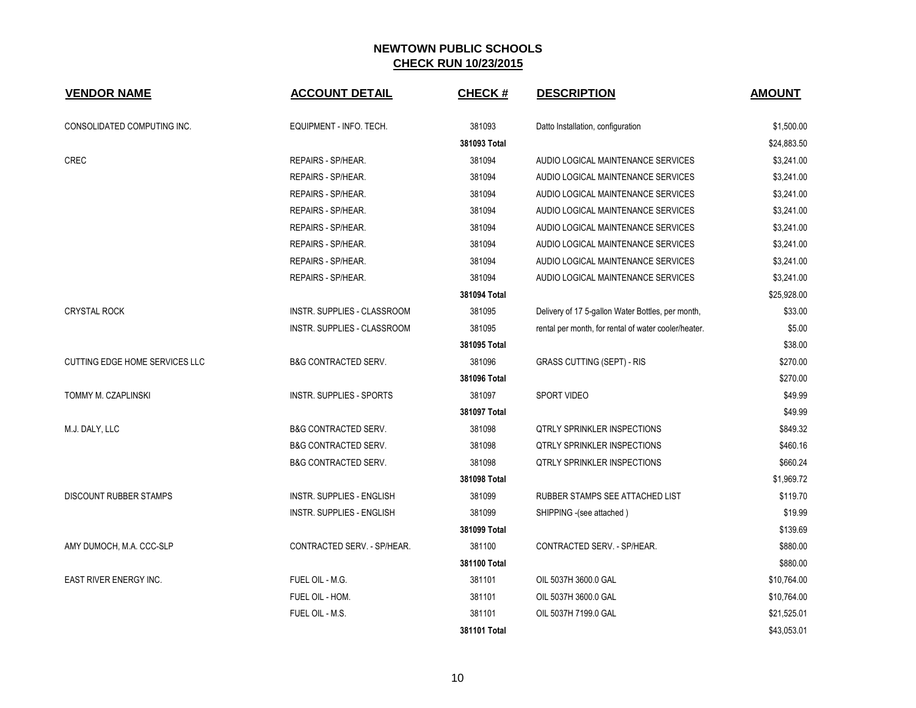| <b>VENDOR NAME</b>                    | <b>ACCOUNT DETAIL</b>            | <b>CHECK#</b> | <b>DESCRIPTION</b>                                   | <b>AMOUNT</b> |
|---------------------------------------|----------------------------------|---------------|------------------------------------------------------|---------------|
| CONSOLIDATED COMPUTING INC.           | EQUIPMENT - INFO. TECH.          | 381093        | Datto Installation, configuration                    | \$1,500.00    |
|                                       |                                  | 381093 Total  |                                                      | \$24,883.50   |
| CREC                                  | REPAIRS - SP/HEAR.               | 381094        | AUDIO LOGICAL MAINTENANCE SERVICES                   | \$3,241.00    |
|                                       | REPAIRS - SP/HEAR.               | 381094        | AUDIO LOGICAL MAINTENANCE SERVICES                   | \$3,241.00    |
|                                       | REPAIRS - SP/HEAR.               | 381094        | AUDIO LOGICAL MAINTENANCE SERVICES                   | \$3,241.00    |
|                                       | REPAIRS - SP/HEAR.               | 381094        | AUDIO LOGICAL MAINTENANCE SERVICES                   | \$3,241.00    |
|                                       | REPAIRS - SP/HEAR.               | 381094        | AUDIO LOGICAL MAINTENANCE SERVICES                   | \$3,241.00    |
|                                       | REPAIRS - SP/HEAR.               | 381094        | AUDIO LOGICAL MAINTENANCE SERVICES                   | \$3,241.00    |
|                                       | REPAIRS - SP/HEAR.               | 381094        | AUDIO LOGICAL MAINTENANCE SERVICES                   | \$3,241.00    |
|                                       | REPAIRS - SP/HEAR.               | 381094        | AUDIO LOGICAL MAINTENANCE SERVICES                   | \$3,241.00    |
|                                       |                                  | 381094 Total  |                                                      | \$25,928.00   |
| <b>CRYSTAL ROCK</b>                   | INSTR. SUPPLIES - CLASSROOM      | 381095        | Delivery of 17 5-gallon Water Bottles, per month,    | \$33.00       |
|                                       | INSTR. SUPPLIES - CLASSROOM      | 381095        | rental per month, for rental of water cooler/heater. | \$5.00        |
|                                       |                                  | 381095 Total  |                                                      | \$38.00       |
| <b>CUTTING EDGE HOME SERVICES LLC</b> | <b>B&amp;G CONTRACTED SERV.</b>  | 381096        | <b>GRASS CUTTING (SEPT) - RIS</b>                    | \$270.00      |
|                                       |                                  | 381096 Total  |                                                      | \$270.00      |
| TOMMY M. CZAPLINSKI                   | <b>INSTR. SUPPLIES - SPORTS</b>  | 381097        | <b>SPORT VIDEO</b>                                   | \$49.99       |
|                                       |                                  | 381097 Total  |                                                      | \$49.99       |
| M.J. DALY, LLC                        | <b>B&amp;G CONTRACTED SERV.</b>  | 381098        | <b>QTRLY SPRINKLER INSPECTIONS</b>                   | \$849.32      |
|                                       | <b>B&amp;G CONTRACTED SERV.</b>  | 381098        | <b>QTRLY SPRINKLER INSPECTIONS</b>                   | \$460.16      |
|                                       | <b>B&amp;G CONTRACTED SERV.</b>  | 381098        | <b>QTRLY SPRINKLER INSPECTIONS</b>                   | \$660.24      |
|                                       |                                  | 381098 Total  |                                                      | \$1,969.72    |
| <b>DISCOUNT RUBBER STAMPS</b>         | <b>INSTR. SUPPLIES - ENGLISH</b> | 381099        | RUBBER STAMPS SEE ATTACHED LIST                      | \$119.70      |
|                                       | INSTR. SUPPLIES - ENGLISH        | 381099        | SHIPPING -(see attached)                             | \$19.99       |
|                                       |                                  | 381099 Total  |                                                      | \$139.69      |
| AMY DUMOCH, M.A. CCC-SLP              | CONTRACTED SERV. - SP/HEAR.      | 381100        | CONTRACTED SERV. - SP/HEAR.                          | \$880.00      |
|                                       |                                  | 381100 Total  |                                                      | \$880.00      |
| EAST RIVER ENERGY INC.                | FUEL OIL - M.G.                  | 381101        | OIL 5037H 3600.0 GAL                                 | \$10,764.00   |
|                                       | FUEL OIL - HOM.                  | 381101        | OIL 5037H 3600.0 GAL                                 | \$10,764.00   |
|                                       | FUEL OIL - M.S.                  | 381101        | OIL 5037H 7199.0 GAL                                 | \$21,525.01   |
|                                       |                                  | 381101 Total  |                                                      | \$43,053.01   |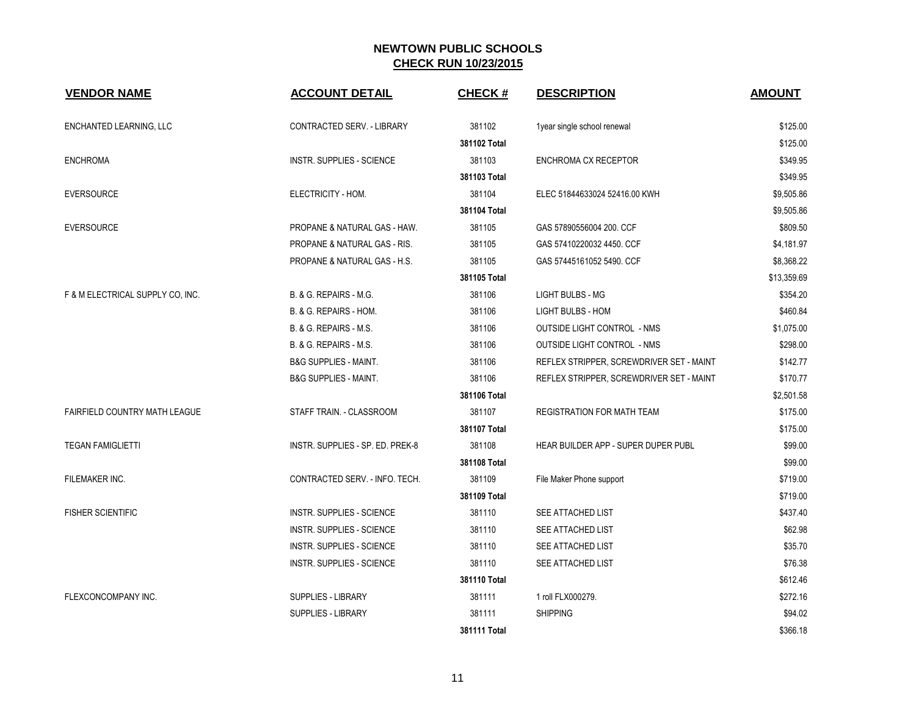| <b>VENDOR NAME</b>                   | <b>ACCOUNT DETAIL</b>            | <b>CHECK#</b> | <b>DESCRIPTION</b>                       | <b>AMOUNT</b> |
|--------------------------------------|----------------------------------|---------------|------------------------------------------|---------------|
| ENCHANTED LEARNING, LLC              | CONTRACTED SERV. - LIBRARY       | 381102        | 1year single school renewal              | \$125.00      |
|                                      |                                  | 381102 Total  |                                          | \$125.00      |
| <b>ENCHROMA</b>                      | <b>INSTR. SUPPLIES - SCIENCE</b> | 381103        | ENCHROMA CX RECEPTOR                     | \$349.95      |
|                                      |                                  | 381103 Total  |                                          | \$349.95      |
| <b>EVERSOURCE</b>                    | ELECTRICITY - HOM.               | 381104        | ELEC 51844633024 52416.00 KWH            | \$9,505.86    |
|                                      |                                  | 381104 Total  |                                          | \$9,505.86    |
| <b>EVERSOURCE</b>                    | PROPANE & NATURAL GAS - HAW.     | 381105        | GAS 57890556004 200. CCF                 | \$809.50      |
|                                      | PROPANE & NATURAL GAS - RIS.     | 381105        | GAS 57410220032 4450. CCF                | \$4,181.97    |
|                                      | PROPANE & NATURAL GAS - H.S.     | 381105        | GAS 57445161052 5490. CCF                | \$8,368.22    |
|                                      |                                  | 381105 Total  |                                          | \$13,359.69   |
| F & M ELECTRICAL SUPPLY CO, INC.     | B. & G. REPAIRS - M.G.           | 381106        | <b>LIGHT BULBS - MG</b>                  | \$354.20      |
|                                      | B. & G. REPAIRS - HOM.           | 381106        | <b>LIGHT BULBS - HOM</b>                 | \$460.84      |
|                                      | B. & G. REPAIRS - M.S.           | 381106        | <b>OUTSIDE LIGHT CONTROL - NMS</b>       | \$1,075.00    |
|                                      | B. & G. REPAIRS - M.S.           | 381106        | <b>OUTSIDE LIGHT CONTROL - NMS</b>       | \$298.00      |
|                                      | <b>B&amp;G SUPPLIES - MAINT.</b> | 381106        | REFLEX STRIPPER, SCREWDRIVER SET - MAINT | \$142.77      |
|                                      | <b>B&amp;G SUPPLIES - MAINT.</b> | 381106        | REFLEX STRIPPER, SCREWDRIVER SET - MAINT | \$170.77      |
|                                      |                                  | 381106 Total  |                                          | \$2,501.58    |
| <b>FAIRFIELD COUNTRY MATH LEAGUE</b> | STAFF TRAIN. - CLASSROOM         | 381107        | REGISTRATION FOR MATH TEAM               | \$175.00      |
|                                      |                                  | 381107 Total  |                                          | \$175.00      |
| <b>TEGAN FAMIGLIETTI</b>             | INSTR. SUPPLIES - SP. ED. PREK-8 | 381108        | HEAR BUILDER APP - SUPER DUPER PUBL      | \$99.00       |
|                                      |                                  | 381108 Total  |                                          | \$99.00       |
| FILEMAKER INC.                       | CONTRACTED SERV. - INFO. TECH.   | 381109        | File Maker Phone support                 | \$719.00      |
|                                      |                                  | 381109 Total  |                                          | \$719.00      |
| <b>FISHER SCIENTIFIC</b>             | INSTR. SUPPLIES - SCIENCE        | 381110        | SEE ATTACHED LIST                        | \$437.40      |
|                                      | INSTR. SUPPLIES - SCIENCE        | 381110        | SEE ATTACHED LIST                        | \$62.98       |
|                                      | <b>INSTR. SUPPLIES - SCIENCE</b> | 381110        | SEE ATTACHED LIST                        | \$35.70       |
|                                      | INSTR. SUPPLIES - SCIENCE        | 381110        | SEE ATTACHED LIST                        | \$76.38       |
|                                      |                                  | 381110 Total  |                                          | \$612.46      |
| FLEXCONCOMPANY INC.                  | SUPPLIES - LIBRARY               | 381111        | 1 roll FLX000279.                        | \$272.16      |
|                                      | SUPPLIES - LIBRARY               | 381111        | <b>SHIPPING</b>                          | \$94.02       |
|                                      |                                  | 381111 Total  |                                          | \$366.18      |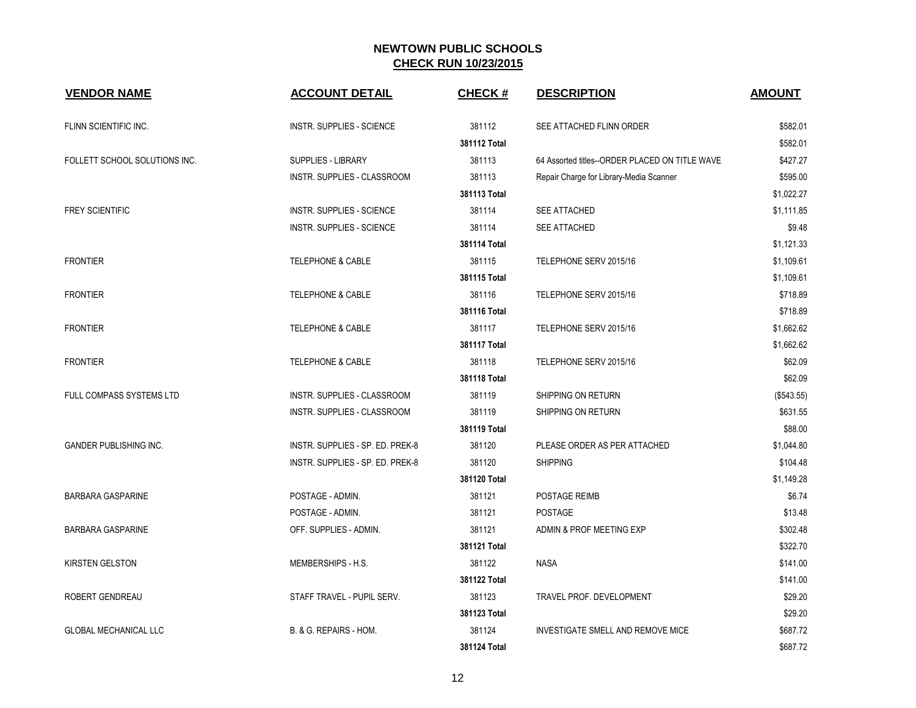| <b>VENDOR NAME</b>            | <b>ACCOUNT DETAIL</b>            | <b>CHECK#</b> | <b>DESCRIPTION</b>                             | <b>AMOUNT</b> |
|-------------------------------|----------------------------------|---------------|------------------------------------------------|---------------|
| FLINN SCIENTIFIC INC.         | <b>INSTR. SUPPLIES - SCIENCE</b> | 381112        | SEE ATTACHED FLINN ORDER                       | \$582.01      |
|                               |                                  | 381112 Total  |                                                | \$582.01      |
| FOLLETT SCHOOL SOLUTIONS INC. | SUPPLIES - LIBRARY               | 381113        | 64 Assorted titles--ORDER PLACED ON TITLE WAVE | \$427.27      |
|                               | INSTR. SUPPLIES - CLASSROOM      | 381113        | Repair Charge for Library-Media Scanner        | \$595.00      |
|                               |                                  | 381113 Total  |                                                | \$1,022.27    |
| <b>FREY SCIENTIFIC</b>        | INSTR. SUPPLIES - SCIENCE        | 381114        | SEE ATTACHED                                   | \$1,111.85    |
|                               | INSTR. SUPPLIES - SCIENCE        | 381114        | SEE ATTACHED                                   | \$9.48        |
|                               |                                  | 381114 Total  |                                                | \$1,121.33    |
| <b>FRONTIER</b>               | <b>TELEPHONE &amp; CABLE</b>     | 381115        | TELEPHONE SERV 2015/16                         | \$1,109.61    |
|                               |                                  | 381115 Total  |                                                | \$1,109.61    |
| <b>FRONTIER</b>               | <b>TELEPHONE &amp; CABLE</b>     | 381116        | TELEPHONE SERV 2015/16                         | \$718.89      |
|                               |                                  | 381116 Total  |                                                | \$718.89      |
| <b>FRONTIER</b>               | TELEPHONE & CABLE                | 381117        | TELEPHONE SERV 2015/16                         | \$1,662.62    |
|                               |                                  | 381117 Total  |                                                | \$1,662.62    |
| <b>FRONTIER</b>               | <b>TELEPHONE &amp; CABLE</b>     | 381118        | TELEPHONE SERV 2015/16                         | \$62.09       |
|                               |                                  | 381118 Total  |                                                | \$62.09       |
| FULL COMPASS SYSTEMS LTD      | INSTR. SUPPLIES - CLASSROOM      | 381119        | SHIPPING ON RETURN                             | (\$543.55)    |
|                               | INSTR. SUPPLIES - CLASSROOM      | 381119        | SHIPPING ON RETURN                             | \$631.55      |
|                               |                                  | 381119 Total  |                                                | \$88.00       |
| <b>GANDER PUBLISHING INC.</b> | INSTR. SUPPLIES - SP. ED. PREK-8 | 381120        | PLEASE ORDER AS PER ATTACHED                   | \$1,044.80    |
|                               | INSTR. SUPPLIES - SP. ED. PREK-8 | 381120        | <b>SHIPPING</b>                                | \$104.48      |
|                               |                                  | 381120 Total  |                                                | \$1,149.28    |
| <b>BARBARA GASPARINE</b>      | POSTAGE - ADMIN.                 | 381121        | POSTAGE REIMB                                  | \$6.74        |
|                               | POSTAGE - ADMIN.                 | 381121        | <b>POSTAGE</b>                                 | \$13.48       |
| <b>BARBARA GASPARINE</b>      | OFF. SUPPLIES - ADMIN.           | 381121        | ADMIN & PROF MEETING EXP                       | \$302.48      |
|                               |                                  | 381121 Total  |                                                | \$322.70      |
| <b>KIRSTEN GELSTON</b>        | MEMBERSHIPS - H.S.               | 381122        | <b>NASA</b>                                    | \$141.00      |
|                               |                                  | 381122 Total  |                                                | \$141.00      |
| ROBERT GENDREAU               | STAFF TRAVEL - PUPIL SERV.       | 381123        | <b>TRAVEL PROF. DEVELOPMENT</b>                | \$29.20       |
|                               |                                  | 381123 Total  |                                                | \$29.20       |
| <b>GLOBAL MECHANICAL LLC</b>  | B. & G. REPAIRS - HOM.           | 381124        | <b>INVESTIGATE SMELL AND REMOVE MICE</b>       | \$687.72      |
|                               |                                  | 381124 Total  |                                                | \$687.72      |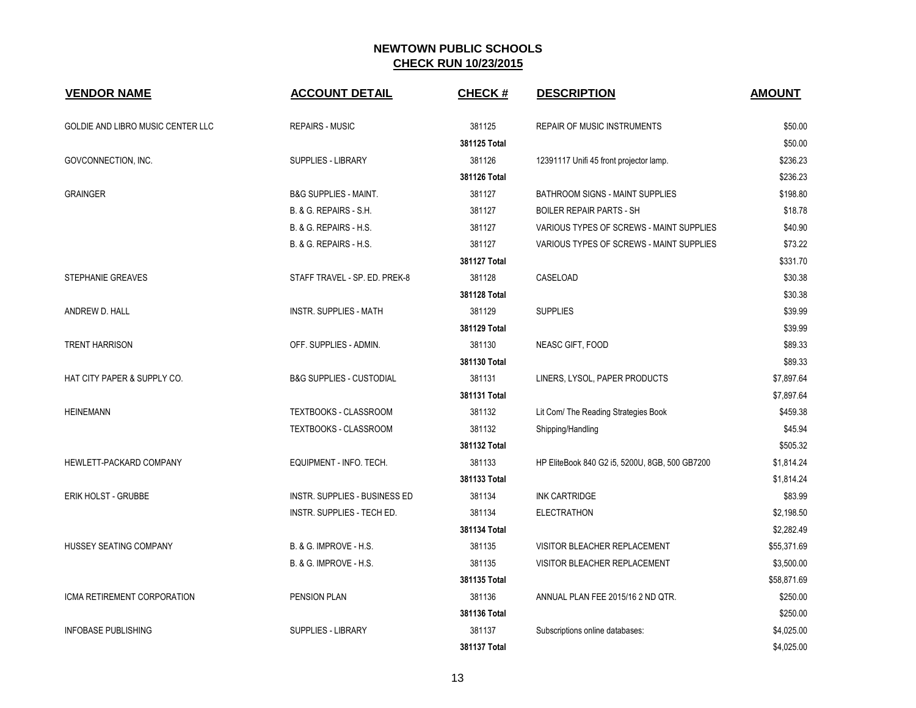| <b>VENDOR NAME</b>                       | <b>ACCOUNT DETAIL</b>               | <b>CHECK#</b> | <b>DESCRIPTION</b>                             | <b>AMOUNT</b> |
|------------------------------------------|-------------------------------------|---------------|------------------------------------------------|---------------|
| <b>GOLDIE AND LIBRO MUSIC CENTER LLC</b> | <b>REPAIRS - MUSIC</b>              | 381125        | <b>REPAIR OF MUSIC INSTRUMENTS</b>             | \$50.00       |
|                                          |                                     | 381125 Total  |                                                | \$50.00       |
| GOVCONNECTION, INC.                      | SUPPLIES - LIBRARY                  | 381126        | 12391117 Unifi 45 front projector lamp.        | \$236.23      |
|                                          |                                     | 381126 Total  |                                                | \$236.23      |
| <b>GRAINGER</b>                          | <b>B&amp;G SUPPLIES - MAINT.</b>    | 381127        | BATHROOM SIGNS - MAINT SUPPLIES                | \$198.80      |
|                                          | B. & G. REPAIRS - S.H.              | 381127        | <b>BOILER REPAIR PARTS - SH</b>                | \$18.78       |
|                                          | B. & G. REPAIRS - H.S.              | 381127        | VARIOUS TYPES OF SCREWS - MAINT SUPPLIES       | \$40.90       |
|                                          | B. & G. REPAIRS - H.S.              | 381127        | VARIOUS TYPES OF SCREWS - MAINT SUPPLIES       | \$73.22       |
|                                          |                                     | 381127 Total  |                                                | \$331.70      |
| <b>STEPHANIE GREAVES</b>                 | STAFF TRAVEL - SP. ED. PREK-8       | 381128        | CASELOAD                                       | \$30.38       |
|                                          |                                     | 381128 Total  |                                                | \$30.38       |
| ANDREW D. HALL                           | <b>INSTR. SUPPLIES - MATH</b>       | 381129        | <b>SUPPLIES</b>                                | \$39.99       |
|                                          |                                     | 381129 Total  |                                                | \$39.99       |
| <b>TRENT HARRISON</b>                    | OFF. SUPPLIES - ADMIN.              | 381130        | NEASC GIFT, FOOD                               | \$89.33       |
|                                          |                                     | 381130 Total  |                                                | \$89.33       |
| HAT CITY PAPER & SUPPLY CO.              | <b>B&amp;G SUPPLIES - CUSTODIAL</b> | 381131        | LINERS, LYSOL, PAPER PRODUCTS                  | \$7,897.64    |
|                                          |                                     | 381131 Total  |                                                | \$7,897.64    |
| <b>HEINEMANN</b>                         | TEXTBOOKS - CLASSROOM               | 381132        | Lit Com/ The Reading Strategies Book           | \$459.38      |
|                                          | <b>TEXTBOOKS - CLASSROOM</b>        | 381132        | Shipping/Handling                              | \$45.94       |
|                                          |                                     | 381132 Total  |                                                | \$505.32      |
| HEWLETT-PACKARD COMPANY                  | EQUIPMENT - INFO. TECH.             | 381133        | HP EliteBook 840 G2 i5, 5200U, 8GB, 500 GB7200 | \$1,814.24    |
|                                          |                                     | 381133 Total  |                                                | \$1,814.24    |
| ERIK HOLST - GRUBBE                      | INSTR. SUPPLIES - BUSINESS ED       | 381134        | <b>INK CARTRIDGE</b>                           | \$83.99       |
|                                          | INSTR. SUPPLIES - TECH ED.          | 381134        | <b>ELECTRATHON</b>                             | \$2,198.50    |
|                                          |                                     | 381134 Total  |                                                | \$2,282.49    |
| HUSSEY SEATING COMPANY                   | B. & G. IMPROVE - H.S.              | 381135        | VISITOR BLEACHER REPLACEMENT                   | \$55,371.69   |
|                                          | <b>B. &amp; G. IMPROVE - H.S.</b>   | 381135        | VISITOR BLEACHER REPLACEMENT                   | \$3,500.00    |
|                                          |                                     | 381135 Total  |                                                | \$58,871.69   |
| ICMA RETIREMENT CORPORATION              | PENSION PLAN                        | 381136        | ANNUAL PLAN FEE 2015/16 2 ND QTR.              | \$250.00      |
|                                          |                                     | 381136 Total  |                                                | \$250.00      |
| <b>INFOBASE PUBLISHING</b>               | <b>SUPPLIES - LIBRARY</b>           | 381137        | Subscriptions online databases:                | \$4,025.00    |
|                                          |                                     | 381137 Total  |                                                | \$4,025.00    |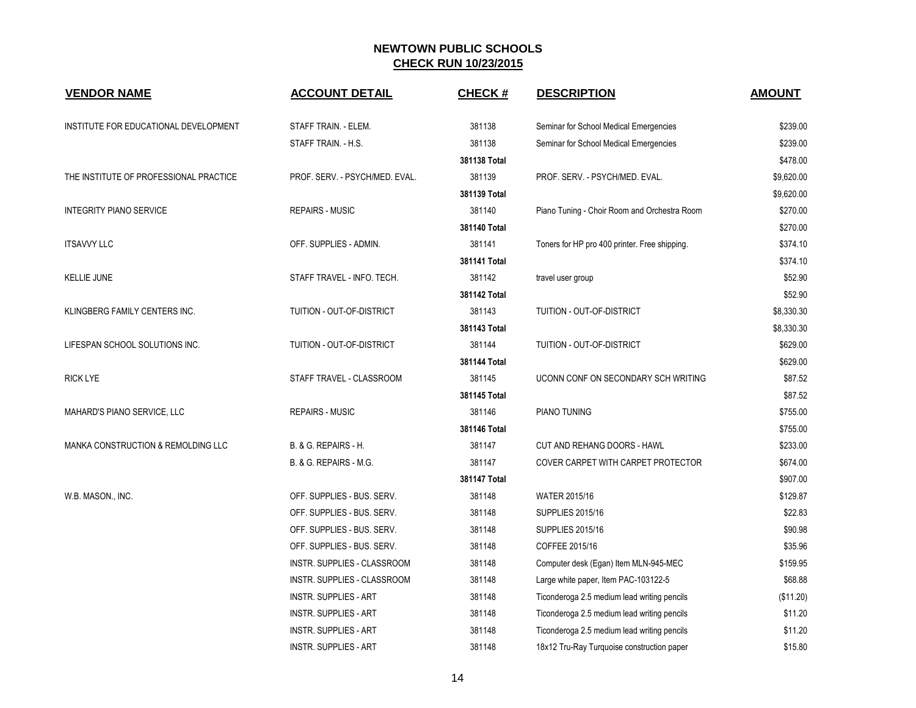| <b>VENDOR NAME</b>                            | <b>ACCOUNT DETAIL</b>          | <b>CHECK#</b> | <b>DESCRIPTION</b>                            | <b>AMOUNT</b> |
|-----------------------------------------------|--------------------------------|---------------|-----------------------------------------------|---------------|
| INSTITUTE FOR EDUCATIONAL DEVELOPMENT         | STAFF TRAIN. - ELEM.           | 381138        | Seminar for School Medical Emergencies        | \$239.00      |
|                                               | STAFF TRAIN. - H.S.            | 381138        | Seminar for School Medical Emergencies        | \$239.00      |
|                                               |                                | 381138 Total  |                                               | \$478.00      |
| THE INSTITUTE OF PROFESSIONAL PRACTICE        | PROF. SERV. - PSYCH/MED. EVAL. | 381139        | PROF. SERV. - PSYCH/MED. EVAL.                | \$9,620.00    |
|                                               |                                | 381139 Total  |                                               | \$9,620.00    |
| <b>INTEGRITY PIANO SERVICE</b>                | <b>REPAIRS - MUSIC</b>         | 381140        | Piano Tuning - Choir Room and Orchestra Room  | \$270.00      |
|                                               |                                | 381140 Total  |                                               | \$270.00      |
| <b>ITSAVVY LLC</b>                            | OFF. SUPPLIES - ADMIN.         | 381141        | Toners for HP pro 400 printer. Free shipping. | \$374.10      |
|                                               |                                | 381141 Total  |                                               | \$374.10      |
| <b>KELLIE JUNE</b>                            | STAFF TRAVEL - INFO. TECH.     | 381142        | travel user group                             | \$52.90       |
|                                               |                                | 381142 Total  |                                               | \$52.90       |
| KLINGBERG FAMILY CENTERS INC.                 | TUITION - OUT-OF-DISTRICT      | 381143        | <b>TUITION - OUT-OF-DISTRICT</b>              | \$8,330.30    |
|                                               |                                | 381143 Total  |                                               | \$8,330.30    |
| LIFESPAN SCHOOL SOLUTIONS INC.                | TUITION - OUT-OF-DISTRICT      | 381144        | TUITION - OUT-OF-DISTRICT                     | \$629.00      |
|                                               |                                | 381144 Total  |                                               | \$629.00      |
| <b>RICK LYE</b>                               | STAFF TRAVEL - CLASSROOM       | 381145        | UCONN CONF ON SECONDARY SCH WRITING           | \$87.52       |
|                                               |                                | 381145 Total  |                                               | \$87.52       |
| MAHARD'S PIANO SERVICE, LLC                   | <b>REPAIRS - MUSIC</b>         | 381146        | PIANO TUNING                                  | \$755.00      |
|                                               |                                | 381146 Total  |                                               | \$755.00      |
| <b>MANKA CONSTRUCTION &amp; REMOLDING LLC</b> | B. & G. REPAIRS - H.           | 381147        | CUT AND REHANG DOORS - HAWL                   | \$233.00      |
|                                               | B. & G. REPAIRS - M.G.         | 381147        | COVER CARPET WITH CARPET PROTECTOR            | \$674.00      |
|                                               |                                | 381147 Total  |                                               | \$907.00      |
| W.B. MASON., INC.                             | OFF. SUPPLIES - BUS. SERV.     | 381148        | WATER 2015/16                                 | \$129.87      |
|                                               | OFF. SUPPLIES - BUS. SERV.     | 381148        | <b>SUPPLIES 2015/16</b>                       | \$22.83       |
|                                               | OFF. SUPPLIES - BUS. SERV.     | 381148        | <b>SUPPLIES 2015/16</b>                       | \$90.98       |
|                                               | OFF. SUPPLIES - BUS. SERV.     | 381148        | COFFEE 2015/16                                | \$35.96       |
|                                               | INSTR. SUPPLIES - CLASSROOM    | 381148        | Computer desk (Egan) Item MLN-945-MEC         | \$159.95      |
|                                               | INSTR. SUPPLIES - CLASSROOM    | 381148        | Large white paper, Item PAC-103122-5          | \$68.88       |
|                                               | <b>INSTR. SUPPLIES - ART</b>   | 381148        | Ticonderoga 2.5 medium lead writing pencils   | (\$11.20)     |
|                                               | <b>INSTR. SUPPLIES - ART</b>   | 381148        | Ticonderoga 2.5 medium lead writing pencils   | \$11.20       |
|                                               | <b>INSTR. SUPPLIES - ART</b>   | 381148        | Ticonderoga 2.5 medium lead writing pencils   | \$11.20       |
|                                               | <b>INSTR. SUPPLIES - ART</b>   | 381148        | 18x12 Tru-Ray Turquoise construction paper    | \$15.80       |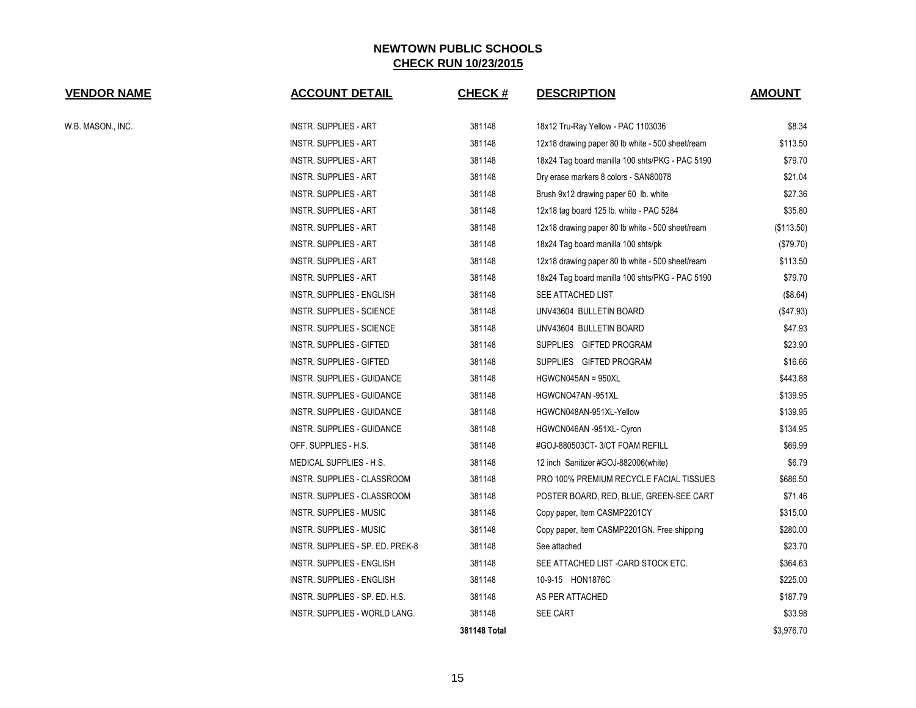| <b>VENDOR NAME</b> | <b>ACCOUNT DETAIL</b>            | <b>CHECK#</b> | <b>DESCRIPTION</b>                               | <b>AMOUNT</b> |
|--------------------|----------------------------------|---------------|--------------------------------------------------|---------------|
| W.B. MASON., INC.  | INSTR. SUPPLIES - ART            | 381148        | 18x12 Tru-Ray Yellow - PAC 1103036               | \$8.34        |
|                    | INSTR. SUPPLIES - ART            | 381148        | 12x18 drawing paper 80 lb white - 500 sheet/ream | \$113.50      |
|                    | INSTR. SUPPLIES - ART            | 381148        | 18x24 Tag board manilla 100 shts/PKG - PAC 5190  | \$79.70       |
|                    | <b>INSTR. SUPPLIES - ART</b>     | 381148        | Dry erase markers 8 colors - SAN80078            | \$21.04       |
|                    | <b>INSTR. SUPPLIES - ART</b>     | 381148        | Brush 9x12 drawing paper 60 lb. white            | \$27.36       |
|                    | INSTR. SUPPLIES - ART            | 381148        | 12x18 tag board 125 lb. white - PAC 5284         | \$35.80       |
|                    | <b>INSTR. SUPPLIES - ART</b>     | 381148        | 12x18 drawing paper 80 lb white - 500 sheet/ream | (\$113.50)    |
|                    | <b>INSTR. SUPPLIES - ART</b>     | 381148        | 18x24 Tag board manilla 100 shts/pk              | (\$79.70)     |
|                    | INSTR. SUPPLIES - ART            | 381148        | 12x18 drawing paper 80 lb white - 500 sheet/ream | \$113.50      |
|                    | <b>INSTR. SUPPLIES - ART</b>     | 381148        | 18x24 Tag board manilla 100 shts/PKG - PAC 5190  | \$79.70       |
|                    | INSTR. SUPPLIES - ENGLISH        | 381148        | SEE ATTACHED LIST                                | (\$8.64)      |
|                    | <b>INSTR. SUPPLIES - SCIENCE</b> | 381148        | UNV43604 BULLETIN BOARD                          | (\$47.93)     |
|                    | <b>INSTR. SUPPLIES - SCIENCE</b> | 381148        | UNV43604 BULLETIN BOARD                          | \$47.93       |
|                    | INSTR. SUPPLIES - GIFTED         | 381148        | SUPPLIES GIFTED PROGRAM                          | \$23.90       |
|                    | INSTR. SUPPLIES - GIFTED         | 381148        | SUPPLIES GIFTED PROGRAM                          | \$16.66       |
|                    | INSTR. SUPPLIES - GUIDANCE       | 381148        | HGWCN045AN = 950XL                               | \$443.88      |
|                    | INSTR. SUPPLIES - GUIDANCE       | 381148        | HGWCNO47AN -951XL                                | \$139.95      |
|                    | INSTR. SUPPLIES - GUIDANCE       | 381148        | HGWCN048AN-951XL-Yellow                          | \$139.95      |
|                    | INSTR. SUPPLIES - GUIDANCE       | 381148        | HGWCN046AN -951XL- Cyron                         | \$134.95      |
|                    | OFF. SUPPLIES - H.S.             | 381148        | #GOJ-880503CT-3/CT FOAM REFILL                   | \$69.99       |
|                    | MEDICAL SUPPLIES - H.S.          | 381148        | 12 inch Sanitizer #GOJ-882006(white)             | \$6.79        |
|                    | INSTR. SUPPLIES - CLASSROOM      | 381148        | PRO 100% PREMIUM RECYCLE FACIAL TISSUES          | \$686.50      |
|                    | INSTR. SUPPLIES - CLASSROOM      | 381148        | POSTER BOARD, RED, BLUE, GREEN-SEE CART          | \$71.46       |
|                    | INSTR. SUPPLIES - MUSIC          | 381148        | Copy paper, Item CASMP2201CY                     | \$315.00      |
|                    | <b>INSTR. SUPPLIES - MUSIC</b>   | 381148        | Copy paper, Item CASMP2201GN. Free shipping      | \$280.00      |
|                    | INSTR. SUPPLIES - SP. ED. PREK-8 | 381148        | See attached                                     | \$23.70       |
|                    | INSTR. SUPPLIES - ENGLISH        | 381148        | SEE ATTACHED LIST - CARD STOCK ETC.              | \$364.63      |
|                    | INSTR. SUPPLIES - ENGLISH        | 381148        | 10-9-15 HON1876C                                 | \$225.00      |
|                    | INSTR. SUPPLIES - SP. ED. H.S.   | 381148        | AS PER ATTACHED                                  | \$187.79      |
|                    | INSTR. SUPPLIES - WORLD LANG.    | 381148        | SEE CART                                         | \$33.98       |
|                    |                                  | 381148 Total  |                                                  | \$3,976.70    |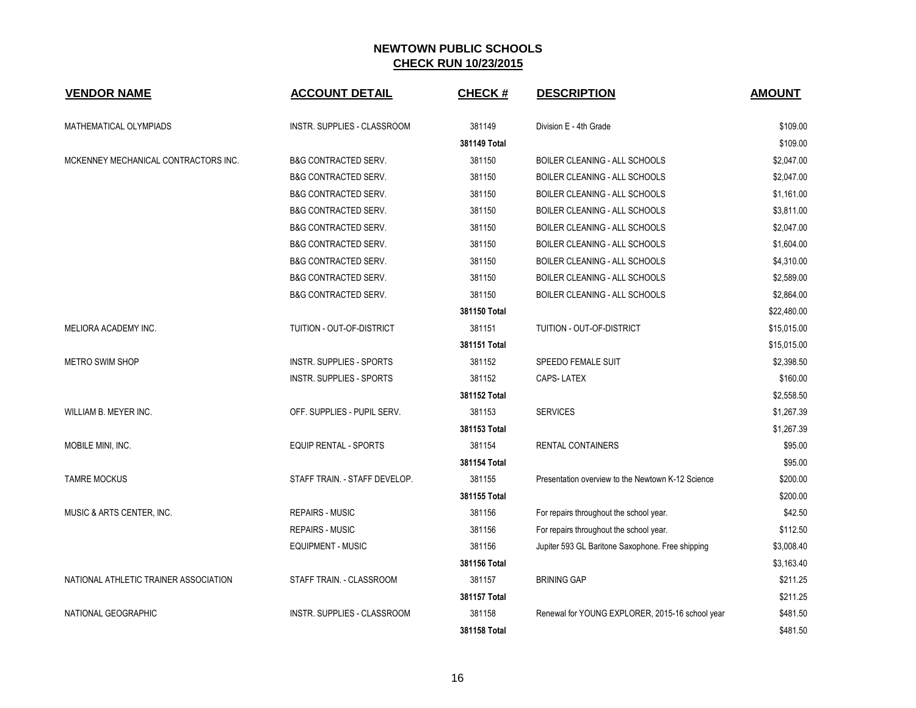| <b>VENDOR NAME</b>                    | <b>ACCOUNT DETAIL</b>           | <b>CHECK#</b> | <b>DESCRIPTION</b>                                | <b>AMOUNT</b> |
|---------------------------------------|---------------------------------|---------------|---------------------------------------------------|---------------|
| MATHEMATICAL OLYMPIADS                | INSTR. SUPPLIES - CLASSROOM     | 381149        | Division E - 4th Grade                            | \$109.00      |
|                                       |                                 | 381149 Total  |                                                   | \$109.00      |
| MCKENNEY MECHANICAL CONTRACTORS INC.  | <b>B&amp;G CONTRACTED SERV.</b> | 381150        | BOILER CLEANING - ALL SCHOOLS                     | \$2,047.00    |
|                                       | <b>B&amp;G CONTRACTED SERV.</b> | 381150        | BOILER CLEANING - ALL SCHOOLS                     | \$2,047.00    |
|                                       | <b>B&amp;G CONTRACTED SERV.</b> | 381150        | BOILER CLEANING - ALL SCHOOLS                     | \$1,161.00    |
|                                       | <b>B&amp;G CONTRACTED SERV.</b> | 381150        | BOILER CLEANING - ALL SCHOOLS                     | \$3,811.00    |
|                                       | <b>B&amp;G CONTRACTED SERV.</b> | 381150        | BOILER CLEANING - ALL SCHOOLS                     | \$2,047.00    |
|                                       | <b>B&amp;G CONTRACTED SERV.</b> | 381150        | BOILER CLEANING - ALL SCHOOLS                     | \$1,604.00    |
|                                       | <b>B&amp;G CONTRACTED SERV.</b> | 381150        | BOILER CLEANING - ALL SCHOOLS                     | \$4,310.00    |
|                                       | <b>B&amp;G CONTRACTED SERV.</b> | 381150        | BOILER CLEANING - ALL SCHOOLS                     | \$2,589.00    |
|                                       | <b>B&amp;G CONTRACTED SERV.</b> | 381150        | <b>BOILER CLEANING - ALL SCHOOLS</b>              | \$2,864.00    |
|                                       |                                 | 381150 Total  |                                                   | \$22,480.00   |
| MELIORA ACADEMY INC.                  | TUITION - OUT-OF-DISTRICT       | 381151        | TUITION - OUT-OF-DISTRICT                         | \$15,015.00   |
|                                       |                                 | 381151 Total  |                                                   | \$15,015.00   |
| <b>METRO SWIM SHOP</b>                | <b>INSTR. SUPPLIES - SPORTS</b> | 381152        | <b>SPEEDO FEMALE SUIT</b>                         | \$2,398.50    |
|                                       | INSTR. SUPPLIES - SPORTS        | 381152        | <b>CAPS-LATEX</b>                                 | \$160.00      |
|                                       |                                 | 381152 Total  |                                                   | \$2,558.50    |
| WILLIAM B. MEYER INC.                 | OFF. SUPPLIES - PUPIL SERV.     | 381153        | <b>SERVICES</b>                                   | \$1,267.39    |
|                                       |                                 | 381153 Total  |                                                   | \$1,267.39    |
| MOBILE MINI, INC.                     | <b>EQUIP RENTAL - SPORTS</b>    | 381154        | <b>RENTAL CONTAINERS</b>                          | \$95.00       |
|                                       |                                 | 381154 Total  |                                                   | \$95.00       |
| <b>TAMRE MOCKUS</b>                   | STAFF TRAIN. - STAFF DEVELOP.   | 381155        | Presentation overview to the Newtown K-12 Science | \$200.00      |
|                                       |                                 | 381155 Total  |                                                   | \$200.00      |
| MUSIC & ARTS CENTER, INC.             | <b>REPAIRS - MUSIC</b>          | 381156        | For repairs throughout the school year.           | \$42.50       |
|                                       | <b>REPAIRS - MUSIC</b>          | 381156        | For repairs throughout the school year.           | \$112.50      |
|                                       | <b>EQUIPMENT - MUSIC</b>        | 381156        | Jupiter 593 GL Baritone Saxophone. Free shipping  | \$3,008.40    |
|                                       |                                 | 381156 Total  |                                                   | \$3,163.40    |
| NATIONAL ATHLETIC TRAINER ASSOCIATION | STAFF TRAIN. - CLASSROOM        | 381157        | <b>BRINING GAP</b>                                | \$211.25      |
|                                       |                                 | 381157 Total  |                                                   | \$211.25      |
| NATIONAL GEOGRAPHIC                   | INSTR. SUPPLIES - CLASSROOM     | 381158        | Renewal for YOUNG EXPLORER, 2015-16 school year   | \$481.50      |
|                                       |                                 | 381158 Total  |                                                   | \$481.50      |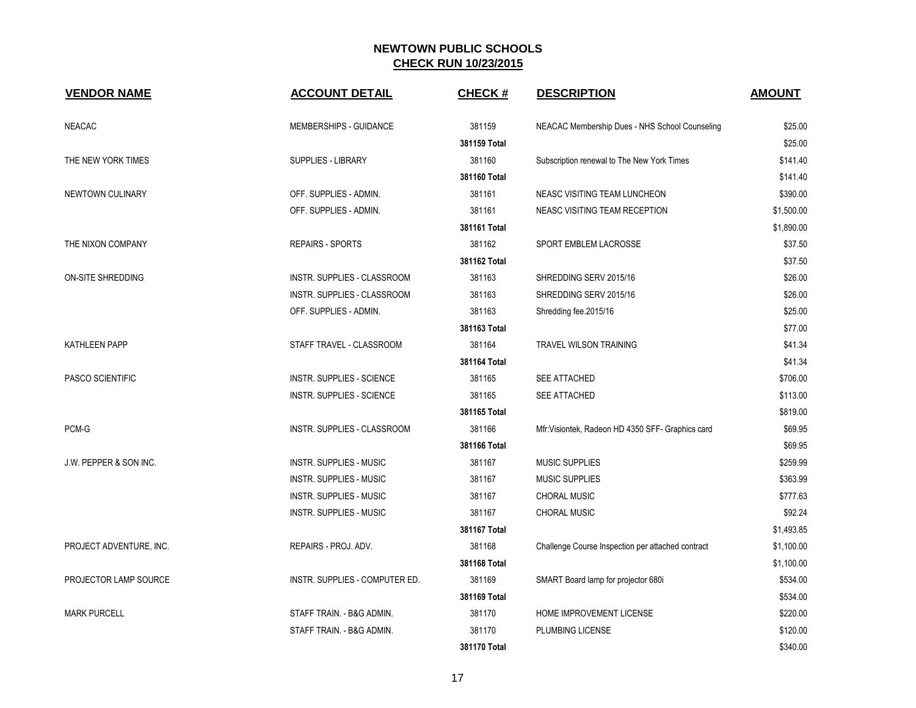| <b>VENDOR NAME</b>                | <b>ACCOUNT DETAIL</b>          | <b>CHECK#</b> | <b>DESCRIPTION</b>                                | <b>AMOUNT</b> |
|-----------------------------------|--------------------------------|---------------|---------------------------------------------------|---------------|
| <b>NEACAC</b>                     | MEMBERSHIPS - GUIDANCE         | 381159        | NEACAC Membership Dues - NHS School Counseling    | \$25.00       |
|                                   |                                | 381159 Total  |                                                   | \$25.00       |
| THE NEW YORK TIMES                | <b>SUPPLIES - LIBRARY</b>      | 381160        | Subscription renewal to The New York Times        | \$141.40      |
|                                   |                                | 381160 Total  |                                                   | \$141.40      |
| NEWTOWN CULINARY                  | OFF. SUPPLIES - ADMIN.         | 381161        | NEASC VISITING TEAM LUNCHEON                      | \$390.00      |
|                                   | OFF. SUPPLIES - ADMIN.         | 381161        | NEASC VISITING TEAM RECEPTION                     | \$1,500.00    |
|                                   |                                | 381161 Total  |                                                   | \$1,890.00    |
| THE NIXON COMPANY                 | <b>REPAIRS - SPORTS</b>        | 381162        | SPORT EMBLEM LACROSSE                             | \$37.50       |
|                                   |                                | 381162 Total  |                                                   | \$37.50       |
| ON-SITE SHREDDING                 | INSTR. SUPPLIES - CLASSROOM    | 381163        | SHREDDING SERV 2015/16                            | \$26.00       |
|                                   | INSTR. SUPPLIES - CLASSROOM    | 381163        | SHREDDING SERV 2015/16                            | \$26.00       |
|                                   | OFF. SUPPLIES - ADMIN.         | 381163        | Shredding fee.2015/16                             | \$25.00       |
|                                   |                                | 381163 Total  |                                                   | \$77.00       |
| <b>KATHLEEN PAPP</b>              | STAFF TRAVEL - CLASSROOM       | 381164        | <b>TRAVEL WILSON TRAINING</b>                     | \$41.34       |
|                                   |                                | 381164 Total  |                                                   | \$41.34       |
| PASCO SCIENTIFIC                  | INSTR. SUPPLIES - SCIENCE      | 381165        | SEE ATTACHED                                      | \$706.00      |
|                                   | INSTR. SUPPLIES - SCIENCE      | 381165        | SEE ATTACHED                                      | \$113.00      |
|                                   |                                | 381165 Total  |                                                   | \$819.00      |
| PCM-G                             | INSTR. SUPPLIES - CLASSROOM    | 381166        | Mfr: Visiontek, Radeon HD 4350 SFF- Graphics card | \$69.95       |
|                                   |                                | 381166 Total  |                                                   | \$69.95       |
| <b>J.W. PEPPER &amp; SON INC.</b> | <b>INSTR. SUPPLIES - MUSIC</b> | 381167        | <b>MUSIC SUPPLIES</b>                             | \$259.99      |
|                                   | INSTR. SUPPLIES - MUSIC        | 381167        | <b>MUSIC SUPPLIES</b>                             | \$363.99      |
|                                   | <b>INSTR. SUPPLIES - MUSIC</b> | 381167        | <b>CHORAL MUSIC</b>                               | \$777.63      |
|                                   | <b>INSTR. SUPPLIES - MUSIC</b> | 381167        | <b>CHORAL MUSIC</b>                               | \$92.24       |
|                                   |                                | 381167 Total  |                                                   | \$1,493.85    |
| PROJECT ADVENTURE, INC.           | REPAIRS - PROJ. ADV.           | 381168        | Challenge Course Inspection per attached contract | \$1,100.00    |
|                                   |                                | 381168 Total  |                                                   | \$1,100.00    |
| PROJECTOR LAMP SOURCE             | INSTR. SUPPLIES - COMPUTER ED. | 381169        | SMART Board lamp for projector 680i               | \$534.00      |
|                                   |                                | 381169 Total  |                                                   | \$534.00      |
| <b>MARK PURCELL</b>               | STAFF TRAIN. - B&G ADMIN.      | 381170        | HOME IMPROVEMENT LICENSE                          | \$220.00      |
|                                   | STAFF TRAIN. - B&G ADMIN.      | 381170        | PLUMBING LICENSE                                  | \$120.00      |
|                                   |                                | 381170 Total  |                                                   | \$340.00      |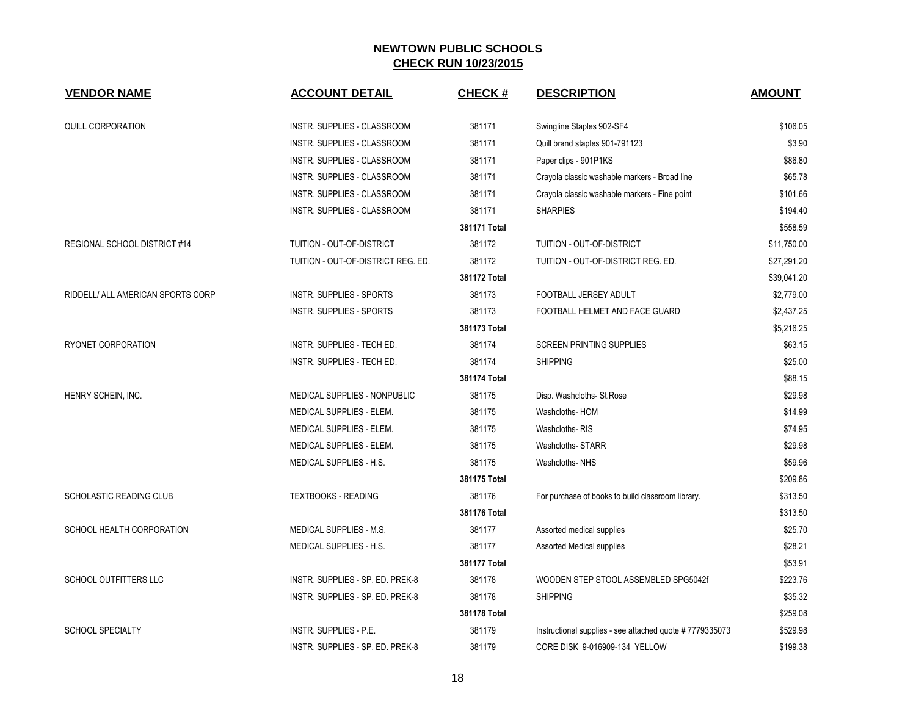| <b>VENDOR NAME</b>                | <b>ACCOUNT DETAIL</b>               | <b>CHECK#</b> | <b>DESCRIPTION</b>                                      | <b>AMOUNT</b> |
|-----------------------------------|-------------------------------------|---------------|---------------------------------------------------------|---------------|
| <b>QUILL CORPORATION</b>          | INSTR. SUPPLIES - CLASSROOM         | 381171        | Swingline Staples 902-SF4                               | \$106.05      |
|                                   | INSTR. SUPPLIES - CLASSROOM         | 381171        | Quill brand staples 901-791123                          | \$3.90        |
|                                   | INSTR. SUPPLIES - CLASSROOM         | 381171        | Paper clips - 901P1KS                                   | \$86.80       |
|                                   | <b>INSTR. SUPPLIES - CLASSROOM</b>  | 381171        | Crayola classic washable markers - Broad line           | \$65.78       |
|                                   | INSTR. SUPPLIES - CLASSROOM         | 381171        | Crayola classic washable markers - Fine point           | \$101.66      |
|                                   | <b>INSTR. SUPPLIES - CLASSROOM</b>  | 381171        | <b>SHARPIES</b>                                         | \$194.40      |
|                                   |                                     | 381171 Total  |                                                         | \$558.59      |
| REGIONAL SCHOOL DISTRICT #14      | TUITION - OUT-OF-DISTRICT           | 381172        | TUITION - OUT-OF-DISTRICT                               | \$11,750.00   |
|                                   | TUITION - OUT-OF-DISTRICT REG. ED.  | 381172        | TUITION - OUT-OF-DISTRICT REG. ED.                      | \$27,291.20   |
|                                   |                                     | 381172 Total  |                                                         | \$39,041.20   |
| RIDDELL/ ALL AMERICAN SPORTS CORP | <b>INSTR. SUPPLIES - SPORTS</b>     | 381173        | FOOTBALL JERSEY ADULT                                   | \$2,779.00    |
|                                   | <b>INSTR. SUPPLIES - SPORTS</b>     | 381173        | FOOTBALL HELMET AND FACE GUARD                          | \$2,437.25    |
|                                   |                                     | 381173 Total  |                                                         | \$5,216.25    |
| RYONET CORPORATION                | INSTR. SUPPLIES - TECH ED.          | 381174        | <b>SCREEN PRINTING SUPPLIES</b>                         | \$63.15       |
|                                   | INSTR. SUPPLIES - TECH ED.          | 381174        | <b>SHIPPING</b>                                         | \$25.00       |
|                                   |                                     | 381174 Total  |                                                         | \$88.15       |
| HENRY SCHEIN, INC.                | <b>MEDICAL SUPPLIES - NONPUBLIC</b> | 381175        | Disp. Washcloths- St.Rose                               | \$29.98       |
|                                   | MEDICAL SUPPLIES - ELEM.            | 381175        | Washcloths-HOM                                          | \$14.99       |
|                                   | MEDICAL SUPPLIES - ELEM.            | 381175        | Washcloths-RIS                                          | \$74.95       |
|                                   | MEDICAL SUPPLIES - ELEM.            | 381175        | Washcloths-STARR                                        | \$29.98       |
|                                   | MEDICAL SUPPLIES - H.S.             | 381175        | Washcloths-NHS                                          | \$59.96       |
|                                   |                                     | 381175 Total  |                                                         | \$209.86      |
| SCHOLASTIC READING CLUB           | <b>TEXTBOOKS - READING</b>          | 381176        | For purchase of books to build classroom library.       | \$313.50      |
|                                   |                                     | 381176 Total  |                                                         | \$313.50      |
| SCHOOL HEALTH CORPORATION         | MEDICAL SUPPLIES - M.S.             | 381177        | Assorted medical supplies                               | \$25.70       |
|                                   | MEDICAL SUPPLIES - H.S.             | 381177        | Assorted Medical supplies                               | \$28.21       |
|                                   |                                     | 381177 Total  |                                                         | \$53.91       |
| SCHOOL OUTFITTERS LLC             | INSTR. SUPPLIES - SP. ED. PREK-8    | 381178        | WOODEN STEP STOOL ASSEMBLED SPG5042f                    | \$223.76      |
|                                   | INSTR. SUPPLIES - SP. ED. PREK-8    | 381178        | <b>SHIPPING</b>                                         | \$35.32       |
|                                   |                                     | 381178 Total  |                                                         | \$259.08      |
| <b>SCHOOL SPECIALTY</b>           | INSTR. SUPPLIES - P.E.              | 381179        | Instructional supplies - see attached quote #7779335073 | \$529.98      |
|                                   | INSTR. SUPPLIES - SP. ED. PREK-8    | 381179        | CORE DISK 9-016909-134 YELLOW                           | \$199.38      |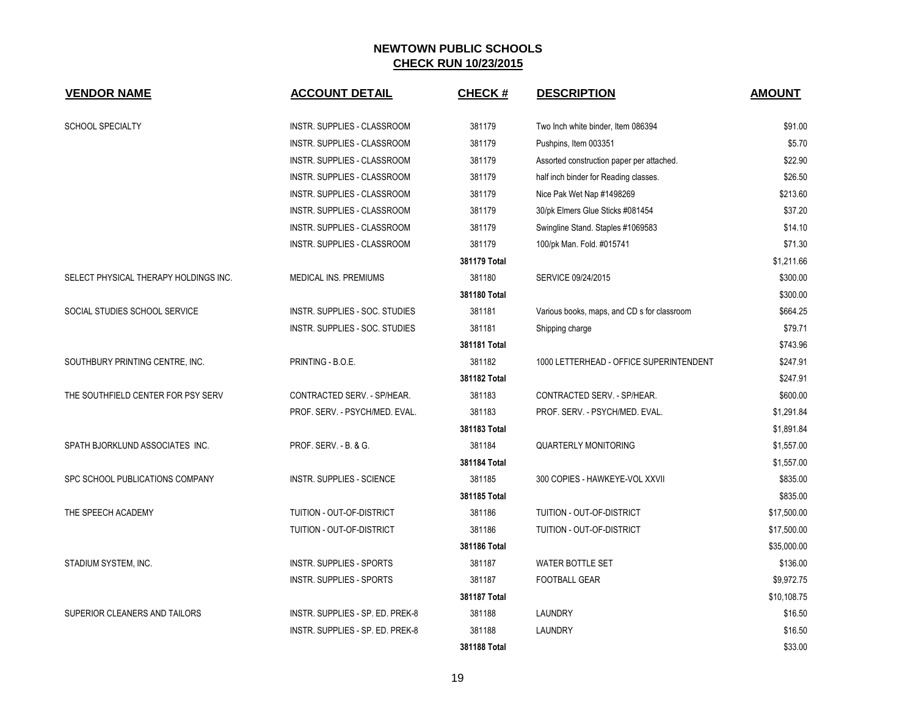| <b>VENDOR NAME</b>                    | <b>ACCOUNT DETAIL</b>              | <b>CHECK#</b> | <b>DESCRIPTION</b>                          | <b>AMOUNT</b> |
|---------------------------------------|------------------------------------|---------------|---------------------------------------------|---------------|
| <b>SCHOOL SPECIALTY</b>               | INSTR. SUPPLIES - CLASSROOM        | 381179        | Two Inch white binder, Item 086394          | \$91.00       |
|                                       | INSTR. SUPPLIES - CLASSROOM        | 381179        | Pushpins, Item 003351                       | \$5.70        |
|                                       | INSTR. SUPPLIES - CLASSROOM        | 381179        | Assorted construction paper per attached.   | \$22.90       |
|                                       | INSTR. SUPPLIES - CLASSROOM        | 381179        | half inch binder for Reading classes.       | \$26.50       |
|                                       | INSTR. SUPPLIES - CLASSROOM        | 381179        | Nice Pak Wet Nap #1498269                   | \$213.60      |
|                                       | INSTR. SUPPLIES - CLASSROOM        | 381179        | 30/pk Elmers Glue Sticks #081454            | \$37.20       |
|                                       | <b>INSTR. SUPPLIES - CLASSROOM</b> | 381179        | Swingline Stand. Staples #1069583           | \$14.10       |
|                                       | INSTR. SUPPLIES - CLASSROOM        | 381179        | 100/pk Man. Fold. #015741                   | \$71.30       |
|                                       |                                    | 381179 Total  |                                             | \$1,211.66    |
| SELECT PHYSICAL THERAPY HOLDINGS INC. | MEDICAL INS. PREMIUMS              | 381180        | SERVICE 09/24/2015                          | \$300.00      |
|                                       |                                    | 381180 Total  |                                             | \$300.00      |
| SOCIAL STUDIES SCHOOL SERVICE         | INSTR. SUPPLIES - SOC. STUDIES     | 381181        | Various books, maps, and CD s for classroom | \$664.25      |
|                                       | INSTR. SUPPLIES - SOC. STUDIES     | 381181        | Shipping charge                             | \$79.71       |
|                                       |                                    | 381181 Total  |                                             | \$743.96      |
| SOUTHBURY PRINTING CENTRE, INC.       | PRINTING - B.O.E.                  | 381182        | 1000 LETTERHEAD - OFFICE SUPERINTENDENT     | \$247.91      |
|                                       |                                    | 381182 Total  |                                             | \$247.91      |
| THE SOUTHFIELD CENTER FOR PSY SERV    | CONTRACTED SERV. - SP/HEAR.        | 381183        | CONTRACTED SERV. - SP/HEAR.                 | \$600.00      |
|                                       | PROF. SERV. - PSYCH/MED. EVAL.     | 381183        | PROF. SERV. - PSYCH/MED. EVAL.              | \$1,291.84    |
|                                       |                                    | 381183 Total  |                                             | \$1,891.84    |
| SPATH BJORKLUND ASSOCIATES INC.       | PROF. SERV. - B. & G.              | 381184        | <b>QUARTERLY MONITORING</b>                 | \$1,557.00    |
|                                       |                                    | 381184 Total  |                                             | \$1,557.00    |
| SPC SCHOOL PUBLICATIONS COMPANY       | <b>INSTR. SUPPLIES - SCIENCE</b>   | 381185        | 300 COPIES - HAWKEYE-VOL XXVII              | \$835.00      |
|                                       |                                    | 381185 Total  |                                             | \$835.00      |
| THE SPEECH ACADEMY                    | TUITION - OUT-OF-DISTRICT          | 381186        | TUITION - OUT-OF-DISTRICT                   | \$17,500.00   |
|                                       | TUITION - OUT-OF-DISTRICT          | 381186        | TUITION - OUT-OF-DISTRICT                   | \$17,500.00   |
|                                       |                                    | 381186 Total  |                                             | \$35,000.00   |
| STADIUM SYSTEM, INC.                  | <b>INSTR. SUPPLIES - SPORTS</b>    | 381187        | <b>WATER BOTTLE SET</b>                     | \$136.00      |
|                                       | <b>INSTR. SUPPLIES - SPORTS</b>    | 381187        | <b>FOOTBALL GEAR</b>                        | \$9,972.75    |
|                                       |                                    | 381187 Total  |                                             | \$10,108.75   |
| SUPERIOR CLEANERS AND TAILORS         | INSTR. SUPPLIES - SP. ED. PREK-8   | 381188        | LAUNDRY                                     | \$16.50       |
|                                       | INSTR. SUPPLIES - SP. ED. PREK-8   | 381188        | LAUNDRY                                     | \$16.50       |
|                                       |                                    | 381188 Total  |                                             | \$33.00       |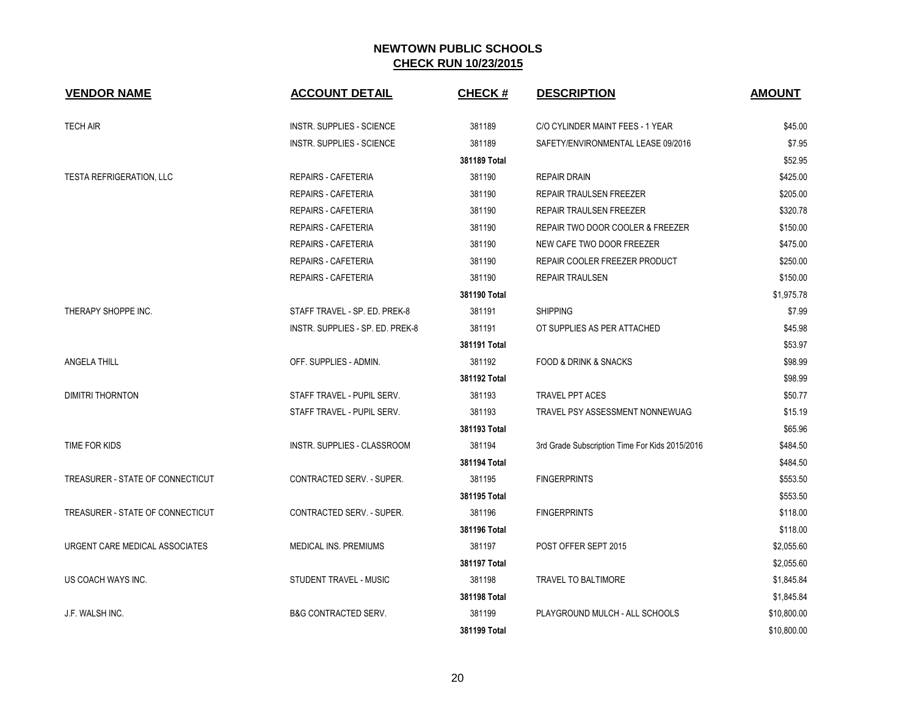| <b>VENDOR NAME</b>               | <b>ACCOUNT DETAIL</b>            | <b>CHECK#</b> | <b>DESCRIPTION</b>                             | <b>AMOUNT</b> |
|----------------------------------|----------------------------------|---------------|------------------------------------------------|---------------|
| <b>TECH AIR</b>                  | <b>INSTR. SUPPLIES - SCIENCE</b> | 381189        | C/O CYLINDER MAINT FEES - 1 YEAR               | \$45.00       |
|                                  | <b>INSTR. SUPPLIES - SCIENCE</b> | 381189        | SAFETY/ENVIRONMENTAL LEASE 09/2016             | \$7.95        |
|                                  |                                  | 381189 Total  |                                                | \$52.95       |
| <b>TESTA REFRIGERATION, LLC</b>  | <b>REPAIRS - CAFETERIA</b>       | 381190        | <b>REPAIR DRAIN</b>                            | \$425.00      |
|                                  | <b>REPAIRS - CAFETERIA</b>       | 381190        | REPAIR TRAULSEN FREEZER                        | \$205.00      |
|                                  | <b>REPAIRS - CAFETERIA</b>       | 381190        | REPAIR TRAULSEN FREEZER                        | \$320.78      |
|                                  | <b>REPAIRS - CAFETERIA</b>       | 381190        | REPAIR TWO DOOR COOLER & FREEZER               | \$150.00      |
|                                  | <b>REPAIRS - CAFETERIA</b>       | 381190        | NEW CAFE TWO DOOR FREEZER                      | \$475.00      |
|                                  | <b>REPAIRS - CAFETERIA</b>       | 381190        | REPAIR COOLER FREEZER PRODUCT                  | \$250.00      |
|                                  | <b>REPAIRS - CAFETERIA</b>       | 381190        | <b>REPAIR TRAULSEN</b>                         | \$150.00      |
|                                  |                                  | 381190 Total  |                                                | \$1,975.78    |
| THERAPY SHOPPE INC.              | STAFF TRAVEL - SP. ED. PREK-8    | 381191        | <b>SHIPPING</b>                                | \$7.99        |
|                                  | INSTR. SUPPLIES - SP. ED. PREK-8 | 381191        | OT SUPPLIES AS PER ATTACHED                    | \$45.98       |
|                                  |                                  | 381191 Total  |                                                | \$53.97       |
| ANGELA THILL                     | OFF. SUPPLIES - ADMIN.           | 381192        | <b>FOOD &amp; DRINK &amp; SNACKS</b>           | \$98.99       |
|                                  |                                  | 381192 Total  |                                                | \$98.99       |
| <b>DIMITRI THORNTON</b>          | STAFF TRAVEL - PUPIL SERV.       | 381193        | <b>TRAVEL PPT ACES</b>                         | \$50.77       |
|                                  | STAFF TRAVEL - PUPIL SERV.       | 381193        | TRAVEL PSY ASSESSMENT NONNEWUAG                | \$15.19       |
|                                  |                                  | 381193 Total  |                                                | \$65.96       |
| TIME FOR KIDS                    | INSTR. SUPPLIES - CLASSROOM      | 381194        | 3rd Grade Subscription Time For Kids 2015/2016 | \$484.50      |
|                                  |                                  | 381194 Total  |                                                | \$484.50      |
| TREASURER - STATE OF CONNECTICUT | CONTRACTED SERV. - SUPER.        | 381195        | <b>FINGERPRINTS</b>                            | \$553.50      |
|                                  |                                  | 381195 Total  |                                                | \$553.50      |
| TREASURER - STATE OF CONNECTICUT | CONTRACTED SERV. - SUPER.        | 381196        | <b>FINGERPRINTS</b>                            | \$118.00      |
|                                  |                                  | 381196 Total  |                                                | \$118.00      |
| URGENT CARE MEDICAL ASSOCIATES   | MEDICAL INS. PREMIUMS            | 381197        | POST OFFER SEPT 2015                           | \$2,055.60    |
|                                  |                                  | 381197 Total  |                                                | \$2,055.60    |
| US COACH WAYS INC.               | STUDENT TRAVEL - MUSIC           | 381198        | TRAVEL TO BALTIMORE                            | \$1,845.84    |
|                                  |                                  | 381198 Total  |                                                | \$1,845.84    |
| J.F. WALSH INC.                  | <b>B&amp;G CONTRACTED SERV.</b>  | 381199        | PLAYGROUND MULCH - ALL SCHOOLS                 | \$10,800.00   |
|                                  |                                  | 381199 Total  |                                                | \$10,800.00   |